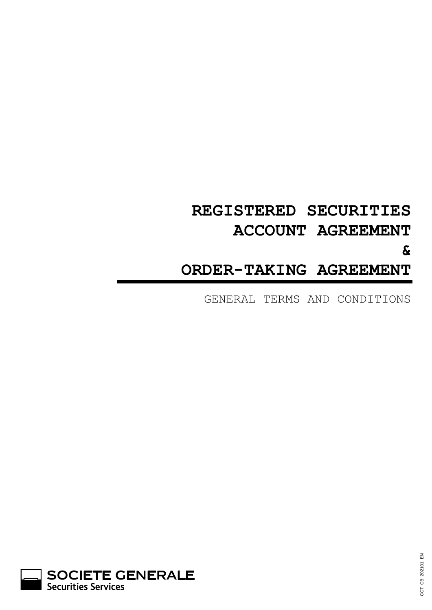# **REGISTERED SECURITIES ACCOUNT AGREEMENT**

**& ORDER-TAKING AGREEMENT** 

GENERAL TERMS AND CONDITIONS

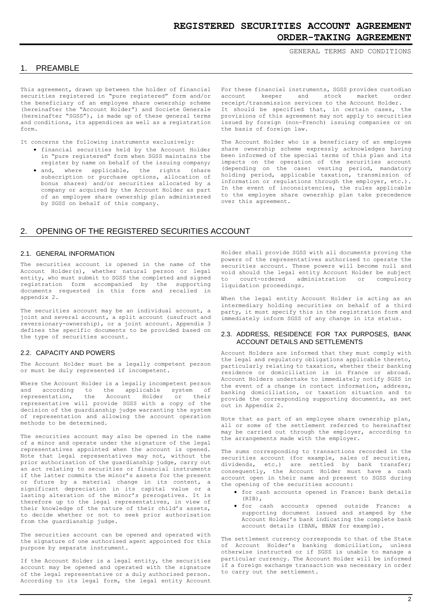## 1. PREAMBLE

This agreement, drawn up between the holder of financial securities registered in "pure registered" form and/or the beneficiary of an employee share ownership scheme (hereinafter the "Account Holder") and Societe Generale (hereinafter "SGSS"), is made up of these general terms and conditions, its appendices as well as a registration form.

It concerns the following instruments exclusively:

- financial securities held by the Account Holder in "pure registered" form when SGSS maintains the register by name on behalf of the issuing company;
- and, where applicable, the rights (share subscription or purchase options, allocation of bonus shares) and/or securities allocated by a company or acquired by the Account Holder as part of an employee share ownership plan administered by SGSS on behalf of this company.

For these financial instruments, SGSS provides custodian account keeper and stock market order receipt/transmission services to the Account Holder.

It should be specified that, in certain cases, the provisions of this agreement may not apply to securities issued by foreign (non-French) issuing companies or on the basis of foreign law.

The Account Holder who is a beneficiary of an employee share ownership scheme expressly acknowledges having been informed of the special terms of this plan and its impacts on the operation of the securities account (depending on the case: vesting period, mandatory holding period, applicable taxation, transmission of information or regulations through the employer, etc.). In the event of inconsistencies, the rules applicable to the employee share ownership plan take precedence over this agreement.

## 2. OPENING OF THE REGISTERED SECURITIES ACCOUNT

#### 2.1. GENERAL INFORMATION

The securities account is opened in the name of the Account Holder(s), whether natural person or legal entity, who must submit to SGSS the completed and signed registration form accompanied by the supporting documents requested in this form and recalled in appendix 2.

The securities account may be an individual account, a joint and several account, a split account (usufruct and reversionary-ownership), or a joint account. Appendix 3 defines the specific documents to be provided based on the type of securities account.

### 2.2. CAPACITY AND POWERS

The Account Holder must be a legally competent person or must be duly represented if incompetent.

Where the Account Holder is a legally incompetent person and according to the applicable system of<br>representation, the Account Holder or their the Account Holder or their representative will provide SGSS with a copy of the decision of the guardianship judge warranting the system of representation and allowing the account operation methods to be determined.

The securities account may also be opened in the name of a minor and operate under the signature of the legal representatives appointed when the account is opened. Note that legal representatives may not, without the prior authorisation of the guardianship judge, carry out an act relating to securities or financial instruments if the latter commits the minor's assets for the present or future by a material change in its content, a significant depreciation in its capital value or a lasting alteration of the minor's prerogatives. It is therefore up to the legal representatives, in view of their knowledge of the nature of their child's assets, to decide whether or not to seek prior authorisation from the quardianship judge.

The securities account can be opened and operated with the signature of one authorised agent appointed for this purpose by separate instrument.

If the Account Holder is a legal entity, the securities account may be opened and operated with the signature of the legal representative or a duly authorised person. According to its legal form, the legal entity Account Holder shall provide SGSS with all documents proving the powers of the representatives authorised to operate the securities account. These powers will become null and void should the legal entity Account Holder be subject to court-ordered administration or compulsory liquidation proceedings.

When the legal entity Account Holder is acting as an intermediary holding securities on behalf of a third party, it must specify this in the registration form and immediately inform SGSS of any change in its status.

### 2.3. ADDRESS, RESIDENCE FOR TAX PURPOSES, BANK ACCOUNT DETAILS AND SETTLEMENTS

Account Holders are informed that they must comply with the legal and regulatory obligations applicable thereto, particularly relating to taxation, whether their banking residence or domiciliation is in France or abroad. Account Holders undertake to immediately notify SGSS in the event of a change in contact information, address, banking domiciliation, or taxation situation and to provide the corresponding supporting documents, as set out in Appendix 2.

Note that as part of an employee share ownership plan, all or some of the settlement referred to hereinafter may be carried out through the employer, according to the arrangements made with the employer.

The sums corresponding to transactions recorded in the securities account (for example, sales of securities, dividends, etc.) are settled by bank transfer; consequently, the Account Holder must have a cash account open in their name and present to SGSS during the opening of the securities account:

- for cash accounts opened in France: bank details (RIB),
- for cash accounts opened outside France: a supporting document issued and stamped by the Account Holder's bank indicating the complete bank account details (IBAN, BBAN for example).

The settlement currency corresponds to that of the State of Account Holder's banking domiciliation, unless otherwise instructed or if SGSS is unable to manage a particular currency. The Account Holder will be informed if a foreign exchange transaction was necessary in order to carry out the settlement.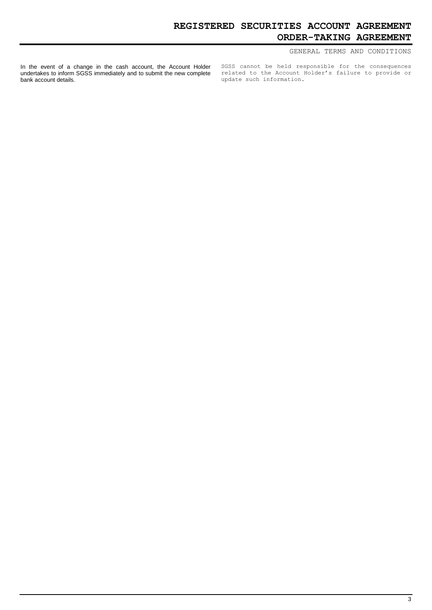In the event of a change in the cash account, the Account Holder undertakes to inform SGSS immediately and to submit the new complete bank account details.

SGSS cannot be held responsible for the consequences related to the Account Holder's failure to provide or update such information.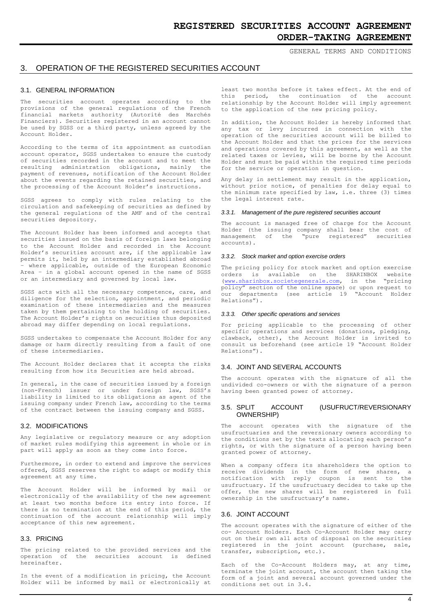GENERAL TERMS AND CONDITIONS

## 3. OPERATION OF THE REGISTERED SECURITIES ACCOUNT

#### 3.1. GENERAL INFORMATION

The securities account operates according to the provisions of the general regulations of the French financial markets authority (Autorité des Marchés Financiers). Securities registered in an account cannot be used by SGSS or a third party, unless agreed by the Account Holder.

According to the terms of its appointment as custodian account operator, SGSS undertakes to ensure the custody of securities recorded in the account and to meet the resulting administration obligations, mainly the payment of revenues, notification of the Account Holder about the events regarding the retained securities, and the processing of the Account Holder's instructions.

SGSS agrees to comply with rules relating to the circulation and safekeeping of securities as defined by the general regulations of the AMF and of the central securities depository.

The Account Holder has been informed and accepts that securities issued on the basis of foreign laws belonging to the Account Holder and recorded in the Account Holder's securities account are, if the applicable law permits it, held by an intermediary established abroad – where applicable, outside of the European Economic Area – in a global account opened in the name of SGSS or an intermediary and governed by local law.

SGSS acts with all the necessary competence, care, and diligence for the selection, appointment, and periodic examination of these intermediaries and the measures taken by them pertaining to the holding of securities. The Account Holder's rights on securities thus deposited abroad may differ depending on local regulations.

SGSS undertakes to compensate the Account Holder for any damage or harm directly resulting from a fault of one of these intermediaries.

The Account Holder declares that it accepts the risks resulting from how its Securities are held abroad.

In general, in the case of securities issued by a foreign (non-French) issuer or under foreign law, SGSS's liability is limited to its obligations as agent of the issuing company under French law, according to the terms of the contract between the issuing company and SGSS.

### 3.2. MODIFICATIONS

Any legislative or regulatory measure or any adoption of market rules modifying this agreement in whole or in part will apply as soon as they come into force.

Furthermore, in order to extend and improve the services offered, SGSS reserves the right to adapt or modify this agreement at any time.

The Account Holder will be informed by mail or electronically of the availability of the new agreement at least two months before its entry into force. If there is no termination at the end of this period, the continuation of the account relationship will imply acceptance of this new agreement.

### 3.3. PRICING

The pricing related to the provided services and the operation of the securities account is defined hereinafter.

In the event of a modification in pricing, the Account Holder will be informed by mail or electronically at least two months before it takes effect. At the end of this period, the continuation of the account relationship by the Account Holder will imply agreement to the application of the new pricing policy.

In addition, the Account Holder is hereby informed that any tax or levy incurred in connection with the operation of the securities account will be billed to the Account Holder and that the prices for the services and operations covered by this agreement, as well as the related taxes or levies, will be borne by the Account Holder and must be paid within the required time periods for the service or operation in question.

Any delay in settlement may result in the application, without prior notice, of penalties for delay equal to the minimum rate specified by law, i.e. three (3) times the legal interest rate.

#### *3.3.1. Management of the pure registered securities account*

The account is managed free of charge for the Account Holder (the issuing company shall bear the cost of management of the "pure registered" securities accounts).

### *3.3.2. Stock market and option exercise orders*

The pricing policy for stock market and option exercise orders is available on the SHARINBOX website [\(www.sharinbox.societegenerale.com,](http://www.sharinbox.societegenerale.com/) in the "pricing policy" section of the online space) or upon request to our departments (see article 19 "Account Holder Relations").

#### *3.3.3. Other specific operations and services*

For pricing applicable to the processing of other specific operations and services (donations, pledging, clawback, other), the Account Holder is invited to consult us beforehand (see article 19 "Account Holder Relations").

### 3.4. JOINT AND SEVERAL ACCOUNTS

The account operates with the signature of all the undivided co-owners or with the signature of a person having been granted power of attorney.

### 3.5. SPLIT ACCOUNT (USUFRUCT/REVERSIONARY OWNERSHIP)

The account operates with the signature of the usufructuaries and the reversionary owners according to the conditions set by the texts allocating each person's rights, or with the signature of a person having been granted power of attorney.

When a company offers its shareholders the option to receive dividends in the form of new shares, a notification with reply coupon is sent to the usufructuary. If the usufructuary decides to take up the offer, the new shares will be registered in full ownership in the usufructuary's name.

#### 3.6. JOINT ACCOUNT

The account operates with the signature of either of the co- Account Holders. Each Co-Account Holder may carry out on their own all acts of disposal on the securities registered in the joint account (purchase, sale, transfer, subscription, etc.).

Each of the Co-Account Holders may, at any time, terminate the joint account, the account then taking the form of a joint and several account governed under the conditions set out in 3.4.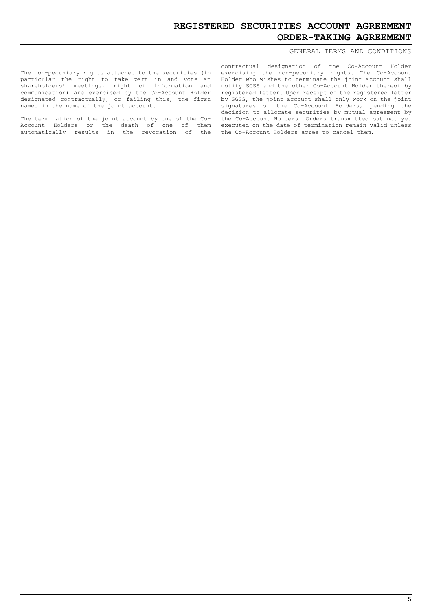The non-pecuniary rights attached to the securities (in particular the right to take part in and vote at shareholders' meetings, right of information and communication) are exercised by the Co-Account Holder designated contractually, or failing this, the first named in the name of the joint account.

The termination of the joint account by one of the Co-Account Holders or the death of one of them automatically results in the revocation of the the Co-Account Holders agree to cancel them.

contractual designation of the Co-Account Holder exercising the non-pecuniary rights. The Co-Account Holder who wishes to terminate the joint account shall notify SGSS and the other Co-Account Holder thereof by registered letter. Upon receipt of the registered letter by SGSS, the joint account shall only work on the joint signatures of the Co-Account Holders, pending the decision to allocate securities by mutual agreement by the Co-Account Holders. Orders transmitted but not yet executed on the date of termination remain valid unless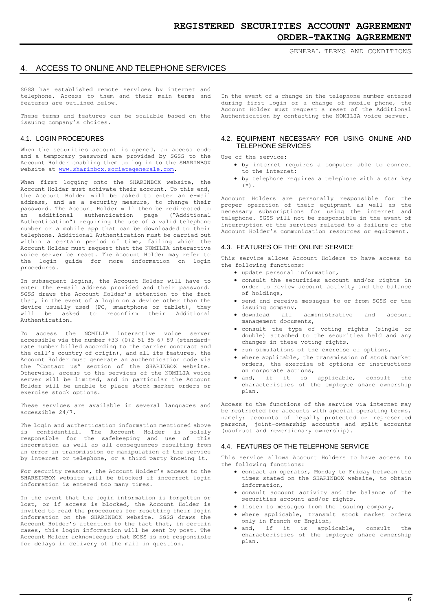## 4. ACCESS TO ONLINE AND TELEPHONE SERVICES

SGSS has established remote services by internet and telephone. Access to them and their main terms and features are outlined below.

These terms and features can be scalable based on the issuing company's choices.

## 4.1. LOGIN PROCEDURES

When the securities account is opened, an access code and a temporary password are provided by SGSS to the Account Holder enabling them to log in to the SHARINBOX website at [www.sharinbox.societegenerale.com.](http://www.sharinbox.societegenerale.com/)

When first logging onto the SHARINBOX website, the Account Holder must activate their account. To this end, the Account Holder will be asked to enter an e-mail address, and as a security measure, to change their password. The Account Holder will then be redirected to an additional authentication page ("Additional Authentication") requiring the use of a valid telephone number or a mobile app that can be downloaded to their telephone. Additional Authentication must be carried out within a certain period of time, failing which the Account Holder must request that the NOMILIA interactive voice server be reset. The Account Holder may refer to the login guide for more information on login procedures*.*

In subsequent logins, the Account Holder will have to enter the e-mail address provided and their password. SGSS draws the Account Holder's attention to the fact that, in the event of a login on a device other than the device usually used (PC, smartphone or tablet), they will be asked to reconfirm their Additional Authentication.

access the NOMILIA interactive voice server accessible via the number +33 (0)2 51 85 67 89 (standardrate number billed according to the carrier contract and the call's country of origin), and all its features, the Account Holder must generate an authentication code via the "Contact us" section of the SHARINBOX website. Otherwise, access to the services of the NOMILIA voice server will be limited, and in particular the Account Holder will be unable to place stock market orders or exercise stock options.

These services are available in several languages and accessible 24/7.

The login and authentication information mentioned above is confidential. The Account Holder is solely responsible for the safekeeping and use of this information as well as all consequences resulting from an error in transmission or manipulation of the service by internet or telephone, or a third party knowing it.

For security reasons, the Account Holder's access to the SHAREINBOX website will be blocked if incorrect login information is entered too many times.

In the event that the login information is forgotten or lost, or if access is blocked, the Account Holder is invited to read the procedures for resetting their login information on the SHARINBOX website. SGSS draws the Account Holder's attention to the fact that, in certain cases, this login information will be sent by post. The Account Holder acknowledges that SGSS is not responsible for delays in delivery of the mail in question.

In the event of a change in the telephone number entered during first login or a change of mobile phone, the Account Holder must request a reset of the Additional Authentication by contacting the NOMILIA voice server.

## 4.2. EQUIPMENT NECESSARY FOR USING ONLINE AND TELEPHONE SERVICES

Use of the service:

- by internet requires a computer able to connect to the internet;
- by telephone requires a telephone with a star key  $(\star)$ .

Account Holders are personally responsible for the proper operation of their equipment as well as the necessary subscriptions for using the internet and telephone. SGSS will not be responsible in the event of interruption of the services related to a failure of the Account Holder's communication resources or equipment.

### 4.3. FEATURES OF THE ONLINE SERVICE

This service allows Account Holders to have access to the following functions:

- update personal information,
- consult the securities account and/or rights in order to review account activity and the balance of holdings,
- send and receive messages to or from SGSS or the issuing company,
- download all administrative and account management documents,
- consult the type of voting rights (single or double) attached to the securities held and any changes in these voting rights,
- run simulations of the exercise of options,
- where applicable, the transmission of stock market orders, the exercise of options or instructions on corporate actions,
- and, if it is applicable, consult the characteristics of the employee share ownership plan.

Access to the functions of the service via internet may be restricted for accounts with special operating terms, namely: accounts of legally protected or represented persons, joint-ownership accounts and split accounts (usufruct and reversionary ownership).

## 4.4. FEATURES OF THE TELEPHONE SERVICE

This service allows Account Holders to have access to the following functions:

- contact an operator, Monday to Friday between the times stated on the SHARINBOX website, to obtain information,
- consult account activity and the balance of the securities account and/or rights,
- listen to messages from the issuing company,
- where applicable, transmit stock market orders only in French or English,
- and, if it is applicable, consult the characteristics of the employee share ownership plan.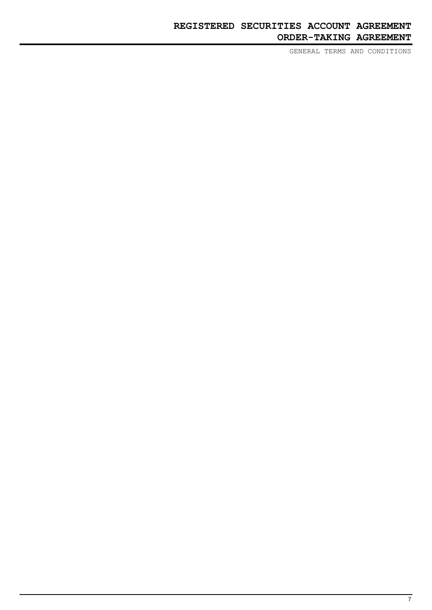GENERAL TERMS AND CONDITIONS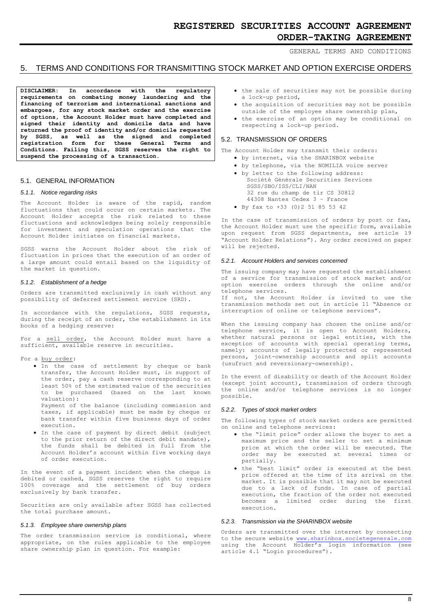GENERAL TERMS AND CONDITIONS

## 5. TERMS AND CONDITIONS FOR TRANSMITTING STOCK MARKET AND OPTION EXERCISE ORDERS

**DISCLAIMER: In accordance with the regulatory requirements on combating money laundering and the financing of terrorism and international sanctions and embargoes, for any stock market order and the exercise of options, the Account Holder must have completed and signed their identity and domicile data and have returned the proof of identity and/or domicile requested by SGSS, as well as the signed and completed registration form for these General Terms and Conditions. Failing this, SGSS reserves the right to suspend the processing of a transaction.**

### 5.1. GENERAL INFORMATION

#### *5.1.1. Notice regarding risks*

The Account Holder is aware of the rapid, random fluctuations that could occur on certain markets. The Account Holder accepts the risk related to these fluctuations and acknowledges being solely responsible for investment and speculation operations that the Account Holder initiates on financial markets.

SGSS warns the Account Holder about the risk of fluctuation in prices that the execution of an order of a large amount could entail based on the liquidity of the market in question.

#### *5.1.2. Establishment of a hedge*

Orders are transmitted exclusively in cash without any possibility of deferred settlement service (SRD).

In accordance with the regulations, SGSS requests, during the receipt of an order, the establishment in its books of a hedging reserve:

For a sell order, the Account Holder must have a sufficient, available reserve in securities.

#### For a buy order:

• In the case of settlement by cheque or bank transfer, the Account Holder must, in support of the order, pay a cash reserve corresponding to at least 50% of the estimated value of the securities to be purchased (based on the last known valuation): Payment of the balance (including commission and taxes, if applicable) must be made by cheque or

bank transfer within five business days of order execution.

• In the case of payment by direct debit (subject to the prior return of the direct debit mandate), the funds shall be debited in full from the Account Holder's account within five working days of order execution.

In the event of a payment incident when the cheque is debited or cashed, SGSS reserves the right to require 100% coverage and the settlement of buy orders exclusively by bank transfer.

Securities are only available after SGSS has collected the total purchase amount.

#### *5.1.3. Employee share ownership plans*

The order transmission service is conditional, where appropriate, on the rules applicable to the employee share ownership plan in question. For example:

- the sale of securities may not be possible during a lock-up period,
- the acquisition of securities may not be possible outside of the employee share ownership plan,
- the exercise of an option may be conditional on respecting a lock-up period.

### 5.2. TRANSMISSION OF ORDERS

The Account Holder may transmit their orders:

- by internet, via the SHARINBOX website
- by telephone, via the NOMILIA voice server
- by letter to the following address: Société Générale Securities Services SGSS/SBO/ISS/CLI/NAN 32 rue du champ de tir CS 30812 44308 Nantes Cedex 3 – France
- By fax to +33 (0)2 51 85 53 42

In the case of transmission of orders by post or fax, the Account Holder must use the specific form, available upon request from SGSS departments, see article 19 "Account Holder Relations"). Any order received on paper will be rejected.

#### *5.2.1. Account Holders and services concerned*

The issuing company may have requested the establishment of a service for transmission of stock market and/or option exercise orders through the online and/or telephone services.

If not, the Account Holder is invited to use the transmission methods set out in article 11 "Absence or interruption of online or telephone services".

When the issuing company has chosen the online and/or telephone service, it is open to Account Holders, whether natural persons or legal entities, with the exception of accounts with special operating terms, namely: accounts of legally protected or represented persons, joint-ownership accounts and split accounts (usufruct and reversionary-ownership).

In the event of disability or death of the Account Holder (except joint account), transmission of orders through the online and/or telephone services is no longer possible.

#### *5.2.2. Types of stock market orders*

The following types of stock market orders are permitted on online and telephone services:

- the "limit price" order allows the buyer to set a maximum price and the seller to set a minimum price at which the order will be executed. The order may be executed at several times or partially.
- the "best limit" order is executed at the best price offered at the time of its arrival on the market. It is possible that it may not be executed due to a lack of funds. In case of partial execution, the fraction of the order not executed becomes a limited order during the first execution.

#### *5.2.3. Transmission via the SHARINBOX website*

Orders are transmitted over the internet by connecting to the secure website [www.sharinbox.societegenerale.com](http://www.sharinbox.societegenerale.com/) using the Account Holder's login information (see article 4.1 "Login procedures").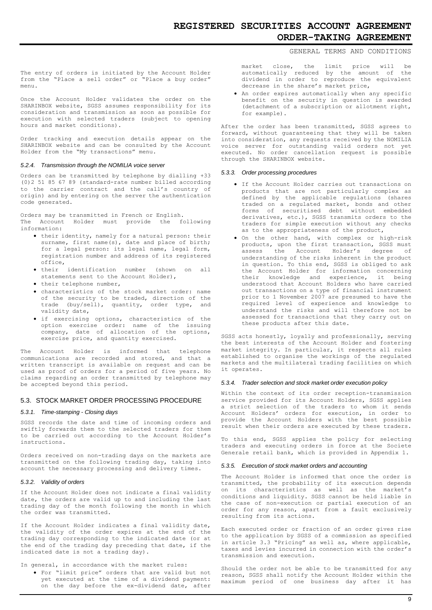The entry of orders is initiated by the Account Holder from the "Place a sell order" or "Place a buy order" menu.

Once the Account Holder validates the order on the SHARINBOX website, SGSS assumes responsibility for its consideration and transmission as soon as possible for execution with selected traders (subject to opening hours and market conditions).

Order tracking and execution details appear on the SHARINBOX website and can be consulted by the Account Holder from the "My transactions" menu.

## *5.2.4. Transmission through the NOMILIA voice server*

Orders can be transmitted by telephone by dialling +33 (0)2 51 85 67 89 (standard-rate number billed according to the carrier contract and the call's country of origin) and by entering on the server the authentication code generated.

Orders may be transmitted in French or English. The Account Holder must provide the following information:

- their identity, namely for a natural person: their surname, first name(s), date and place of birth; for a legal person: its legal name, legal form, registration number and address of its registered office,
- their identification number (shown on all statements sent to the Account Holder),
- their telephone number,
- characteristics of the stock market order: name of the security to be traded, direction of the trade (buy/sell), quantity, order type, and validity date,
- if exercising options, characteristics of the option exercise order: name of the issuing company, date of allocation of the options, exercise price, and quantity exercised.

The Account Holder is informed that telephone communications are recorded and stored, and that a written transcript is available on request and can be used as proof of orders for a period of five years. No claims regarding an order transmitted by telephone may be accepted beyond this period.

### 5.3. STOCK MARKET ORDER PROCESSING PROCEDURE

#### *5.3.1. Time-stamping - Closing days*

SGSS records the date and time of incoming orders and swiftly forwards them to the selected traders for them to be carried out according to the Account Holder's instructions.

Orders received on non-trading days on the markets are transmitted on the following trading day, taking into account the necessary processing and delivery times.

#### *5.3.2. Validity of orders*

If the Account Holder does not indicate a final validity date, the orders are valid up to and including the last trading day of the month following the month in which the order was transmitted.

If the Account Holder indicates a final validity date, the validity of the order expires at the end of the trading day corresponding to the indicated date (or at the end of the trading day preceding that date, if the indicated date is not a trading day).

In general, in accordance with the market rules:

• For "limit price" orders that are valid but not yet executed at the time of a dividend payment: on the day before the ex-dividend date, after market close, the limit price will be automatically reduced by the amount of the dividend in order to reproduce the equivalent decrease in the share's market price,

• An order expires automatically when any specific benefit on the security in question is awarded (detachment of a subscription or allotment right, for example).

After the order has been transmitted, SGSS agrees to forward, without guaranteeing that they will be taken into consideration, any requests received by the NOMILIA voice server for outstanding valid orders not yet executed. No order cancellation request is possible through the SHARINBOX website.

#### *5.3.3. Order processing procedures*

- If the Account Holder carries out transactions on products that are not particularly complex as defined by the applicable regulations (shares traded on a regulated market, bonds and other forms of securitised debt without embedded derivatives, etc.), SGSS transmits orders to the traders for simple execution without any checks as to the appropriateness of the product,
- On the other hand, with complex or high-risk products, upon the first transaction, SGSS must assess the Account Holder's degree of understanding of the risks inherent in the product in question. To this end, SGSS is obliged to ask the Account Holder for information concerning their knowledge and experience, it being understood that Account Holders who have carried out transactions on a type of financial instrument prior to 1 November 2007 are presumed to have the required level of experience and knowledge to understand the risks and will therefore not be assessed for transactions that they carry out on these products after this date.

SGSS acts honestly, loyally and professionally, serving the best interests of the Account Holder and fostering market integrity. In particular, it respects all rules established to organise the workings of the regulated markets and the multilateral trading facilities on which it operates.

#### *5.3.4. Trader selection and stock market order execution policy*

Within the context of its order reception-transmission service provided for its Account Holders, SGSS applies a strict selection of the traders to whom it sends Account Holders' orders for execution, in order to provide the Account Holders with the best possible result when their orders are executed by these traders.

To this end, SGSS applies the policy for selecting traders and executing orders in force at the Societe Generale retail bank, which is provided in Appendix 1.

#### *5.3.5. Execution of stock market orders and accounting*

The Account Holder is informed that once the order is transmitted, the probability of its execution depends on its characteristics as well as the market's conditions and liquidity. SGSS cannot be held liable in the case of non-execution or partial execution of an order for any reason, apart from a fault exclusively resulting from its actions.

Each executed order or fraction of an order gives rise to the application by SGSS of a commission as specified in article 3.3 "Pricing" as well as, where applicable, taxes and levies incurred in connection with the order's transmission and execution.

Should the order not be able to be transmitted for any reason, SGSS shall notify the Account Holder within the maximum period of one business day after it has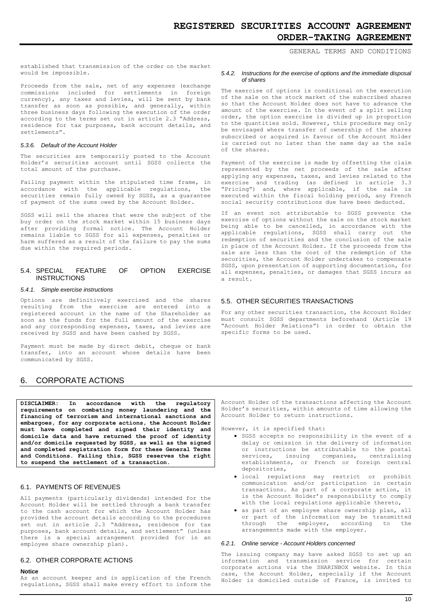established that transmission of the order on the market would be impossible.

Proceeds from the sale, net of any expenses (exchange commissions included for settlements in foreign currency), any taxes and levies, will be sent by bank transfer as soon as possible, and generally, within three business days following the execution of the order according to the terms set out in article 2.3 "Address, residence for tax purposes, bank account details, and settlements".

#### *5.3.6. Default of the Account Holder*

The securities are temporarily posted to the Account Holder's securities account until SGSS collects the total amount of the purchase.

Failing payment within the stipulated time frame, in accordance with the applicable regulations, the securities remain fully owned by SGSS, as a quarantee of payment of the sums owed by the Account Holder.

SGSS will sell the shares that were the subject of the buy order on the stock market within 15 business days after providing formal notice. The Account Holder remains liable to SGSS for all expenses, penalties or harm suffered as a result of the failure to pay the sums due within the required periods.

### 5.4. SPECIAL FEATURE OF OPTION EXERCISE INSTRUCTIONS

#### *5.4.1. Simple exercise instructions*

Options are definitively exercised and the shares resulting from the exercise are entered into a registered account in the name of the Shareholder as soon as the funds for the full amount of the exercise and any corresponding expenses, taxes, and levies are received by SGSS and have been cashed by SGSS.

Payment must be made by direct debit, cheque or bank transfer, into an account whose details have been communicated by SGSS.

## 6. CORPORATE ACTIONS

**DISCLAIMER: In accordance with the regulatory requirements on combating money laundering and the financing of terrorism and international sanctions and embargoes, for any corporate actions, the Account Holder must have completed and signed their identity and domicile data and have returned the proof of identity and/or domicile requested by SGSS, as well as the signed and completed registration form for these General Terms and Conditions. Failing this, SGSS reserves the right to suspend the settlement of a transaction.**

## 6.1. PAYMENTS OF REVENUES

All payments (particularly dividends) intended for the Account Holder will be settled through a bank transfer to the cash account for which the Account Holder has provided the account details according to the procedures set out in article 2.3 "Address, residence for tax purposes, bank account details, and settlement" (unless there is a special arrangement provided for in an employee share ownership plan).

### 6.2. OTHER CORPORATE ACTIONS

## **Notice**

As an account keeper and in application of the French regulations, SGSS shall make every effort to inform the

#### *5.4.2. Instructions for the exercise of options and the immediate disposal of shares*

The exercise of options is conditional on the execution of the sale on the stock market of the subscribed shares so that the Account Holder does not have to advance the amount of the exercise. In the event of a split selling order, the option exercise is divided up in proportion to the quantities sold. However, this procedure may only be envisaged where transfer of ownership of the shares subscribed or acquired in favour of the Account Holder is carried out no later than the same day as the sale of the shares.

Payment of the exercise is made by offsetting the claim represented by the net proceeds of the sale after applying any expenses, taxes, and levies related to the exercise and trading (as defined in article 3.3 "Pricing") and, where applicable, if the sale is executed within the fiscal holding period, any French social security contributions due have been deducted.

If an event not attributable to SGSS prevents the exercise of options without the sale on the stock market being able to be cancelled, in accordance with the applicable regulations, SGSS shall carry out the redemption of securities and the conclusion of the sale in place of the Account Holder. If the proceeds from the sale are less than the cost of the redemption of the securities, the Account Holder undertakes to compensate SGSS, upon presentation of supporting documentation, for all expenses, penalties, or damages that SGSS incurs as a result.

### 5.5. OTHER SECURITIES TRANSACTIONS

For any other securities transaction, the Account Holder must consult SGSS departments beforehand (Article 19 "Account Holder Relations") in order to obtain the specific forms to be used.

Account Holder of the transactions affecting the Account Holder's securities, within amounts of time allowing the Account Holder to return instructions.

However, it is specified that:

- SGSS accepts no responsibility in the event of a delay or omission in the delivery of information or instructions be attributable to the postal services, issuing companies, centralising establishments, or French or foreign central depositories,
- local regulations may restrict or prohibit communication and/or participation in certain transactions. As part of a corporate action, it is the Account Holder's responsibility to comply with the local regulations applicable thereto,
- as part of an employee share ownership plan, all or part of the information may be transmitted through the employer, according to the arrangements made with the employer.

### *6.2.1. Online service - Account Holders concerned*

The issuing company may have asked SGSS to set up an information and transmission service for certain corporate actions via the SHARINBOX website. In this case, the Account Holder, especially if the Account Holder is domiciled outside of France, is invited to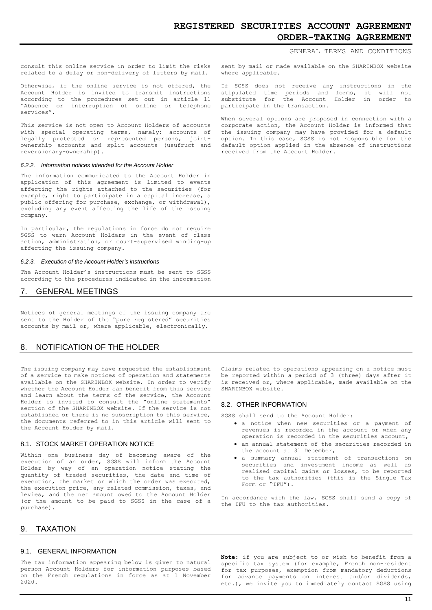consult this online service in order to limit the risks related to a delay or non-delivery of letters by mail.

Otherwise, if the online service is not offered, the Account Holder is invited to transmit instructions according to the procedures set out in article 11 "Absence or interruption of online or telephone services".

This service is not open to Account Holders of accounts with special operating terms, namely: accounts of legally protected or represented persons, jointownership accounts and split accounts (usufruct and reversionary-ownership).

### *6.2.2. Information notices intended for the Account Holder*

The information communicated to the Account Holder in application of this agreement is limited to events affecting the rights attached to the securities (for example, right to participate in a capital increase, a public offering for purchase, exchange, or withdrawal), excluding any event affecting the life of the issuing company.

In particular, the regulations in force do not require SGSS to warn Account Holders in the event of class action, administration, or court-supervised winding-up affecting the issuing company.

#### *6.2.3. Execution of the Account Holder's instructions*

The Account Holder's instructions must be sent to SGSS according to the procedures indicated in the information

## 7. GENERAL MEETINGS

Notices of general meetings of the issuing company are sent to the Holder of the "pure registered" securities accounts by mail or, where applicable, electronically.

## 8. NOTIFICATION OF THE HOLDER

The issuing company may have requested the establishment of a service to make notices of operation and statements available on the SHARINBOX website. In order to verify whether the Account Holder can benefit from this service and learn about the terms of the service, the Account Holder is invited to consult the "online statements" section of the SHARINBOX website. If the service is not established or there is no subscription to this service, the documents referred to in this article will sent to the Account Holder by mail.

#### 8.1. STOCK MARKET OPERATION NOTICE

Within one business day of becoming aware of the execution of an order, SGSS will inform the Account Holder by way of an operation notice stating the quantity of traded securities, the date and time of execution, the market on which the order was executed, the execution price, any related commission, taxes, and levies, and the net amount owed to the Account Holder (or the amount to be paid to SGSS in the case of a purchase).

## 9. TAXATION

### 9.1. GENERAL INFORMATION

The tax information appearing below is given to natural person Account Holders for information purposes based on the French regulations in force as at 1 November 2020.

sent by mail or made available on the SHARINBOX website where applicable.

If SGSS does not receive any instructions in the stipulated time periods and forms, it will not substitute for the Account Holder in order to participate in the transaction.

When several options are proposed in connection with a corporate action, the Account Holder is informed that the issuing company may have provided for a default option. In this case, SGSS is not responsible for the default option applied in the absence of instructions received from the Account Holder.

Claims related to operations appearing on a notice must be reported within a period of 3 (three) days after it is received or, where applicable, made available on the SHARINBOX website.

### 8.2. OTHER INFORMATION

SGSS shall send to the Account Holder:

- a notice when new securities or a payment of revenues is recorded in the account or when any operation is recorded in the securities account,
- an annual statement of the securities recorded in the account at 31 December,
- a summary annual statement of transactions on securities and investment income as well as realised capital gains or losses, to be reported to the tax authorities (this is the Single Tax Form or "IFU").

In accordance with the law, SGSS shall send a copy of the IFU to the tax authorities.

**Note**: if you are subject to or wish to benefit from a specific tax system (for example, French non-resident for tax purposes, exemption from mandatory deductions for advance payments on interest and/or dividends, etc.), we invite you to immediately contact SGSS using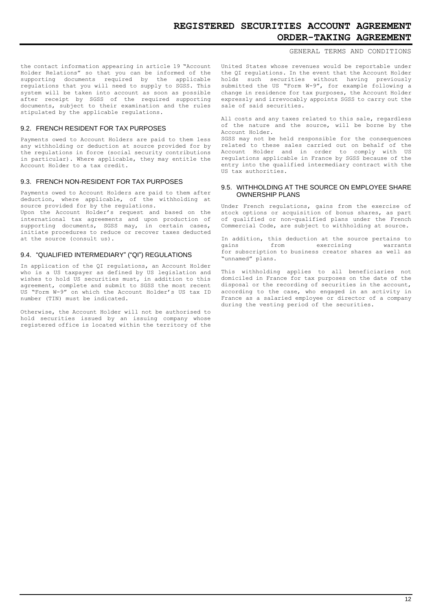the contact information appearing in article 19 "Account Holder Relations" so that you can be informed of the supporting documents required by the applicable regulations that you will need to supply to SGSS. This system will be taken into account as soon as possible after receipt by SGSS of the required supporting documents, subject to their examination and the rules stipulated by the applicable regulations.

## 9.2. FRENCH RESIDENT FOR TAX PURPOSES

Payments owed to Account Holders are paid to them less any withholding or deduction at source provided for by the regulations in force (social security contributions in particular). Where applicable, they may entitle the Account Holder to a tax credit.

## 9.3. FRENCH NON-RESIDENT FOR TAX PURPOSES

Payments owed to Account Holders are paid to them after deduction, where applicable, of the withholding at source provided for by the regulations.

Upon the Account Holder's request and based on the international tax agreements and upon production of supporting documents, SGSS may, in certain cases, initiate procedures to reduce or recover taxes deducted at the source (consult us).

## 9.4. "QUALIFIED INTERMEDIARY" ("QI") REGULATIONS

In application of the QI regulations, an Account Holder who is a US taxpayer as defined by US legislation and wishes to hold US securities must, in addition to this agreement, complete and submit to SGSS the most recent US "Form W-9" on which the Account Holder's US tax ID number (TIN) must be indicated.

Otherwise, the Account Holder will not be authorised to hold securities issued by an issuing company whose registered office is located within the territory of the

United States whose revenues would be reportable under the QI regulations. In the event that the Account Holder holds such securities without having previously submitted the US "Form W-9", for example following a change in residence for tax purposes, the Account Holder expressly and irrevocably appoints SGSS to carry out the sale of said securities.

All costs and any taxes related to this sale, regardless of the nature and the source, will be borne by the Account Holder.

SGSS may not be held responsible for the consequences related to these sales carried out on behalf of the Account Holder and in order to comply with US regulations applicable in France by SGSS because of the entry into the qualified intermediary contract with the US tax authorities.

### 9.5. WITHHOLDING AT THE SOURCE ON EMPLOYEE SHARE OWNERSHIP PLANS

Under French regulations, gains from the exercise of stock options or acquisition of bonus shares, as part of qualified or non-qualified plans under the French Commercial Code, are subject to withholding at source.

In addition, this deduction at the source pertains to gains from exercising warrants from exercising warrants for subscription to business creator shares as well as "unnamed" plans.

This withholding applies to all beneficiaries not domiciled in France for tax purposes on the date of the disposal or the recording of securities in the account, according to the case, who engaged in an activity in France as a salaried employee or director of a company during the vesting period of the securities.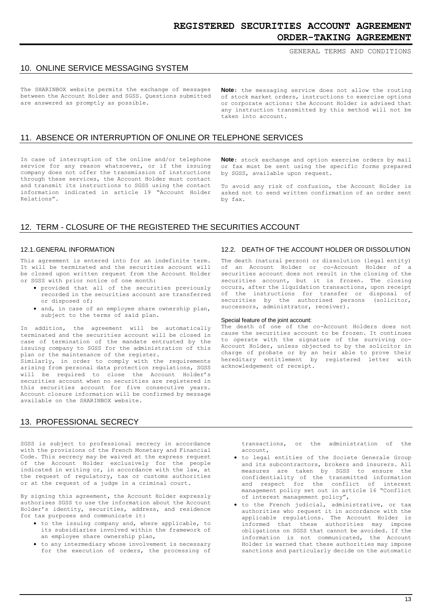## 10. ONLINE SERVICE MESSAGING SYSTEM

The SHARINBOX website permits the exchange of messages between the Account Holder and SGSS. Questions submitted are answered as promptly as possible.

**Note**: the messaging service does not allow the routing of stock market orders, instructions to exercise options or corporate actions: the Account Holder is advised that any instruction transmitted by this method will not be taken into account.

## 11. ABSENCE OR INTERRUPTION OF ONLINE OR TELEPHONE SERVICES

In case of interruption of the online and/or telephone service for any reason whatsoever, or if the issuing company does not offer the transmission of instructions through these services, the Account Holder must contact and transmit its instructions to SGSS using the contact information indicated in article 19 "Account Holder Relations".

**Note**: stock exchange and option exercise orders by mail or fax must be sent using the specific forms prepared by SGSS, available upon request.

To avoid any risk of confusion, the Account Holder is asked not to send written confirmation of an order sent by fax.

## 12. TERM - CLOSURE OF THE REGISTERED THE SECURITIES ACCOUNT

### 12.1.GENERAL INFORMATION

This agreement is entered into for an indefinite term. It will be terminated and the securities account will be closed upon written request from the Account Holder or SGSS with prior notice of one month:

- provided that all of the securities previously recorded in the securities account are transferred or disposed of;
- and, in case of an employee share ownership plan, subject to the terms of said plan.

In addition, the agreement will be automatically terminated and the securities account will be closed in case of termination of the mandate entrusted by the issuing company to SGSS for the administration of this plan or the maintenance of the register.

Similarly, in order to comply with the requirements arising from personal data protection regulations, SGSS will be required to close the Account Holder's securities account when no securities are registered in this securities account for five consecutive years. Account closure information will be confirmed by message available on the SHARINBOX website.

## 13. PROFESSIONAL SECRECY

SGSS is subject to professional secrecy in accordance with the provisions of the French Monetary and Financial Code. This secrecy may be waived at the express request of the Account Holder exclusively for the people indicated in writing or, in accordance with the law, at the request of regulatory, tax or customs authorities or at the request of a judge in a criminal court.

By signing this agreement, the Account Holder expressly authorises SGSS to use the information about the Account Holder's identity, securities, address, and residence for tax purposes and communicate it:

- to the issuing company and, where applicable, to its subsidiaries involved within the framework of an employee share ownership plan,
- to any intermediary whose involvement is necessary for the execution of orders, the processing of

### 12.2. DEATH OF THE ACCOUNT HOLDER OR DISSOLUTION

The death (natural person) or dissolution (legal entity) of an Account Holder or co-Account Holder of a securities account does not result in the closing of the securities account, but it is frozen. The closing occurs, after the liquidation transactions, upon receipt of the instructions for transfer or disposal of securities by the authorised persons (solicitor, successors, administrator, receiver).

#### Special feature of the joint account:

The death of one of the co-Account Holders does not cause the securities account to be frozen. It continues to operate with the signature of the surviving co-Account Holder, unless objected to by the solicitor in charge of probate or by an heir able to prove their hereditary entitlement by registered letter with acknowledgement of receipt.

> transactions, or the administration of the account.

- to legal entities of the Societe Generale Group and its subcontractors, brokers and insurers. All measures are taken by SGSS to ensure the confidentiality of the transmitted information and respect for the conflict of interest management policy set out in article 16 "Conflict of interest management policy",
- to the French judicial, administrative, or tax authorities who request it in accordance with the applicable regulations. The Account Holder is informed that these authorities may impose obligations on SGSS that cannot be avoided. If the information is not communicated, the Account Holder is warned that these authorities may impose sanctions and particularly decide on the automatic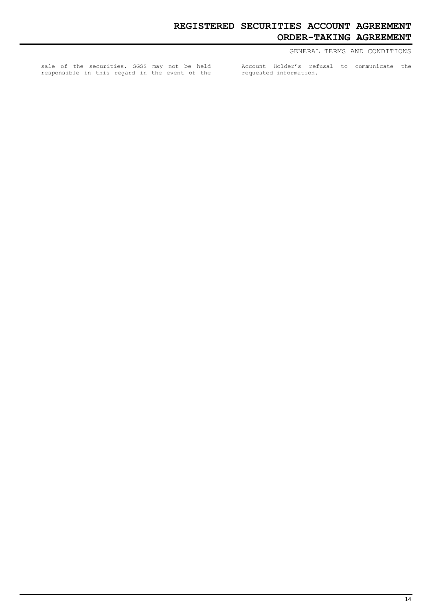## GENERAL TERMS AND CONDITIONS

|  | sale of the securities. SGSS may not be held   |  |  |  |  |                        |  | Account Holder's refusal to communicate the |  |
|--|------------------------------------------------|--|--|--|--|------------------------|--|---------------------------------------------|--|
|  | responsible in this regard in the event of the |  |  |  |  | requested information. |  |                                             |  |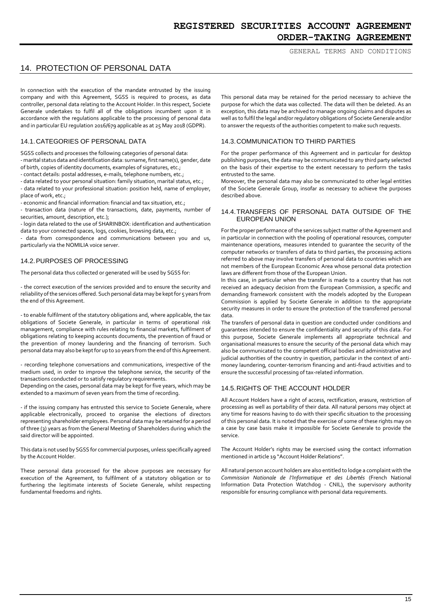## 14. PROTECTION OF PERSONAL DATA

In connection with the execution of the mandate entrusted by the issuing company and with this Agreement, SGSS is required to process, as data controller, personal data relating to the Account Holder. In this respect, Societe Generale undertakes to fulfil all of the obligations incumbent upon it in accordance with the regulations applicable to the processing of personal data and in particular EU regulation 2016/679 applicable as at 25 May 2018 (GDPR).

## 14.1.CATEGORIES OF PERSONAL DATA

SGSS collects and processes the following categories of personal data:

- marital status data and identification data: surname, first name(s), gender, date of birth, copies of identity documents, examples of signatures, etc.;

- contact details: postal addresses, e-mails, telephone numbers, etc.;

- data related to your personal situation: family situation, marital status, etc.;

- data related to your professional situation: position held, name of employer, place of work, etc.;

- economic and financial information: financial and tax situation, etc.;

- transaction data (nature of the transactions, date, payments, number of securities, amount, description, etc.);

- login data related to the use of SHARINBOX: identification and authentication data to your connected spaces, logs, cookies, browsing data, etc.;

- data from correspondence and communications between you and us, particularly via the NOMILIA voice server.

## 14.2.PURPOSES OF PROCESSING

The personal data thus collected or generated will be used by SGSS for:

- the correct execution of the services provided and to ensure the security and reliability of the services offered. Such personal data may be kept for 5 years from the end of this Agreement.

- to enable fulfilment of the statutory obligations and, where applicable, the tax obligations of Societe Generale, in particular in terms of operational risk management, compliance with rules relating to financial markets, fulfilment of obligations relating to keeping accounts documents, the prevention of fraud or the prevention of money laundering and the financing of terrorism. Such personal data may also be kept for up to 10 years from the end of this Agreement.

- recording telephone conversations and communications, irrespective of the medium used, in order to improve the telephone service, the security of the transactions conducted or to satisfy regulatory requirements.

Depending on the cases, personal data may be kept for five years, which may be extended to a maximum of seven years from the time of recording.

- if the issuing company has entrusted this service to Societe Generale, where applicable electronically, proceed to organise the elections of directors representing shareholder employees. Personal data may be retained for a period of three (3) years as from the General Meeting of Shareholders during which the said director will be appointed.

This data is not used by SGSS for commercial purposes, unless specifically agreed by the Account Holder.

These personal data processed for the above purposes are necessary for execution of the Agreement, to fulfilment of a statutory obligation or to furthering the legitimate interests of Societe Generale, whilst respecting fundamental freedoms and rights.

This personal data may be retained for the period necessary to achieve the purpose for which the data was collected. The data will then be deleted. As an exception, this data may be archived to manage ongoing claims and disputes as well as to fulfil the legal and/or regulatory obligations of Societe Generale and/or to answer the requests of the authorities competent to make such requests.

## 14.3.COMMUNICATION TO THIRD PARTIES

For the proper performance of this Agreement and in particular for desktop publishing purposes, the data may be communicated to any third party selected on the basis of their expertise to the extent necessary to perform the tasks entrusted to the same.

Moreover, the personal data may also be communicated to other legal entities of the Societe Generale Group, insofar as necessary to achieve the purposes described above.

## 14.4.TRANSFERS OF PERSONAL DATA OUTSIDE OF THE EUROPEAN UNION

For the proper performance of the services subject matter of the Agreement and in particular in connection with the pooling of operational resources, computer maintenance operations, measures intended to guarantee the security of the computer networks or transfers of data to third parties, the processing actions referred to above may involve transfers of personal data to countries which are not members of the European Economic Area whose personal data protection laws are different from those of the European Union.

In this case, in particular when the transfer is made to a country that has not received an adequacy decision from the European Commission, a specific and demanding framework consistent with the models adopted by the European Commission is applied by Societe Generale in addition to the appropriate security measures in order to ensure the protection of the transferred personal data.

The transfers of personal data in question are conducted under conditions and guarantees intended to ensure the confidentiality and security of this data. For this purpose, Societe Generale implements all appropriate technical and organisational measures to ensure the security of the personal data which may also be communicated to the competent official bodies and administrative and judicial authorities of the country in question, particular in the context of antimoney laundering, counter-terrorism financing and anti-fraud activities and to ensure the successful processing of tax-related information.

## 14.5.RIGHTS OF THE ACCOUNT HOLDER

All Account Holders have a right of access, rectification, erasure, restriction of processing as well as portability of their data. All natural persons may object at any time for reasons having to do with their specific situation to the processing of this personal data. It is noted that the exercise of some of these rights may on a case by case basis make it impossible for Societe Generale to provide the service.

The Account Holder's rights may be exercised using the contact information mentioned in article 19 "Account Holder Relations".

All natural person account holders are also entitled to lodge a complaint with the *Commission Nationale de l'Informatique et des Libertés* (French National Information Data Protection Watchdog - CNIL), the supervisory authority responsible for ensuring compliance with personal data requirements.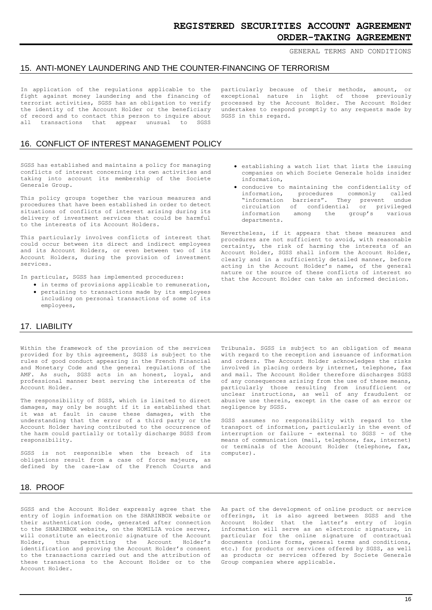GENERAL TERMS AND CONDITIONS

## 15. ANTI-MONEY LAUNDERING AND THE COUNTER-FINANCING OF TERRORISM

In application of the regulations applicable to the fight against money laundering and the financing of terrorist activities, SGSS has an obligation to verify the identity of the Account Holder or the beneficiary of record and to contact this person to inquire about all transactions that appear unusual to SGSS

## 16. CONFLICT OF INTEREST MANAGEMENT POLICY

SGSS has established and maintains a policy for managing conflicts of interest concerning its own activities and taking into account its membership of the Societe Generale Group.

This policy groups together the various measures and procedures that have been established in order to detect situations of conflicts of interest arising during its delivery of investment services that could be harmful to the interests of its Account Holders.

This particularly involves conflicts of interest that could occur between its direct and indirect employees and its Account Holders, or even between two of its Account Holders, during the provision of investment services.

In particular, SGSS has implemented procedures:

• in terms of provisions applicable to remuneration, • pertaining to transactions made by its employees including on personal transactions of some of its employees,

particularly because of their methods, amount, or exceptional nature in light of those previously processed by the Account Holder. The Account Holder undertakes to respond promptly to any requests made by SGSS in this regard.

- establishing a watch list that lists the issuing companies on which Societe Generale holds insider information,
- conducive to maintaining the confidentiality of information, procedures commonly called "information barriers". They prevent undue circulation of confidential or privileged information among the group's various departments.

Nevertheless, if it appears that these measures and procedures are not sufficient to avoid, with reasonable certainty, the risk of harming the interests of an Account Holder, SGSS shall inform the Account Holder, clearly and in a sufficiently detailed manner, before acting in the Account Holder's name, of the general nature or the source of these conflicts of interest so that the Account Holder can take an informed decision.

## 17. LIABILITY

Within the framework of the provision of the services provided for by this agreement, SGSS is subject to the rules of good conduct appearing in the French Financial and Monetary Code and the general regulations of the AMF. As such, SGSS acts in an honest, loyal, and professional manner best serving the interests of the Account Holder.

The responsibility of SGSS, which is limited to direct damages, may only be sought if it is established that it was at fault in cause these damages, with the understanding that the error of a third party or the Account Holder having contributed to the occurrence of the harm could partially or totally discharge SGSS from responsibility.

SGSS is not responsible when the breach of its obligations result from a case of force majeure, as defined by the case-law of the French Courts and with regard to the reception and issuance of information and orders. The Account Holder acknowledges the risks involved in placing orders by internet, telephone, fax and mail. The Account Holder therefore discharges SGSS of any consequences arising from the use of these means, particularly those resulting from insufficient or unclear instructions, as well of any fraudulent or abusive use therein, except in the case of an error or negligence by SGSS.

Tribunals. SGSS is subject to an obligation of means

SGSS assumes no responsibility with regard to the transport of information, particularly in the event of interruption or failure - external to SGSS - of the means of communication (mail, telephone, fax, internet) or terminals of the Account Holder (telephone, fax, computer).

## 18. PROOF

SGSS and the Account Holder expressly agree that the entry of login information on the SHARINBOX website or their authentication code, generated after connection to the SHARINBOX website, on the NOMILIA voice server, will constitute an electronic signature of the Account<br>Holder, thus permitting the Account Holder's thus permitting the Account Holder's identification and proving the Account Holder's consent to the transactions carried out and the attribution of these transactions to the Account Holder or to the Account Holder.

As part of the development of online product or service offerings, it is also agreed between SGSS and the Account Holder that the latter's entry of login information will serve as an electronic signature, in particular for the online signature of contractual documents (online forms, general terms and conditions, etc.) for products or services offered by SGSS, as well as products or services offered by Societe Generale Group companies where applicable.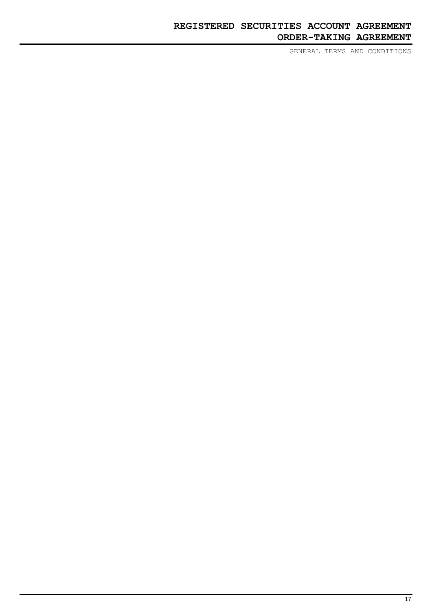GENERAL TERMS AND CONDITIONS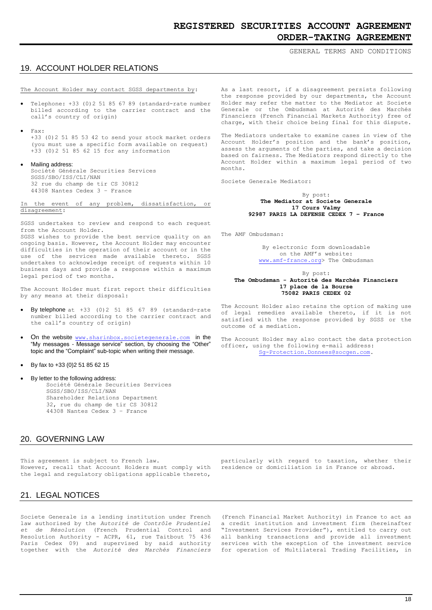GENERAL TERMS AND CONDITIONS

## 19. ACCOUNT HOLDER RELATIONS

The Account Holder may contact SGSS departments by:

- Telephone: +33 (0)2 51 85 67 89 (standard-rate number billed according to the carrier contract and the call's country of origin)
- Fax:

+33 (0)2 51 85 53 42 to send your stock market orders (you must use a specific form available on request) +33 (0)2 51 85 62 15 for any information

Mailing address: Société Générale Securities Services SGSS/SBO/ISS/CLI/NAN 32 rue du champ de tir CS 30812 44308 Nantes Cedex 3 – France

the event of any problem, dissatisfaction, or disagreement:

SGSS undertakes to review and respond to each request from the Account Holder.

SGSS wishes to provide the best service quality on an ongoing basis. However, the Account Holder may encounter difficulties in the operation of their account or in the use of the services made available thereto. SGSS undertakes to acknowledge receipt of requests within 10 business days and provide a response within a maximum legal period of two months.

The Account Holder must first report their difficulties by any means at their disposal:

- By telephone at  $+33$  (0)2 51 85 67 89 (standard-rate number billed according to the carrier contract and the call's country of origin)
- On the website [www.sharinbox.societegenerale.com](http://www.sharinbox.societegenerale.com/) in the "My messages - Message service" section, by choosing the "Other" topic and the "Complaint" sub-topic when writing their message.
- By fax to +33 (0)2 51 85 62 15
- By letter to the following address: Société Générale Securities Services SGSS/SBO/ISS/CLI/NAN Shareholder Relations Department 32, rue du champ de tir CS 30812 44308 Nantes Cedex 3 – France

## 20. GOVERNING LAW

This agreement is subject to French law. However, recall that Account Holders must comply with the legal and regulatory obligations applicable thereto,

21. LEGAL NOTICES

Societe Generale is a lending institution under French law authorised by the *Autorité de Contrôle Prudentiel et de Résolution* (French Prudential Control and Resolution Authority - ACPR, 61, rue Taitbout 75 436 Paris Cedex 09) and supervised by said authority together with the *Autorité des Marchés Financiers* As a last resort, if a disagreement persists following the response provided by our departments, the Account Holder may refer the matter to the Mediator at Societe Generale or the Ombudsman at Autorité des Marchés Financiers (French Financial Markets Authority) free of charge, with their choice being final for this dispute.

The Mediators undertake to examine cases in view of the Account Holder's position and the bank's position, assess the arguments of the parties, and take a decision based on fairness. The Mediators respond directly to the Account Holder within a maximum legal period of two months.

Societe Generale Mediator:

By post: **The Mediator at Societe Generale 17 Cours Valmy 92987 PARIS LA DEFENSE CEDEX 7 – France**

The AMF Ombudsman:

By electronic form downloadable on the AMF's website: [www.amf-france.org>](http://www.amf-france.org/) The Ombudsman

#### By post: **The Ombudsman - Autorité des Marchés Financiers 17 place de la Bourse 75082 PARIS CEDEX 02**

The Account Holder also retains the option of making use of legal remedies available thereto, if it is not satisfied with the response provided by SGSS or the outcome of a mediation.

The Account Holder may also contact the data protection officer, using the following e-mail address: [Sg-Protection.Donnees@socgen.com.](mailto:Sg-Protection.Donnees@socgen.com)

particularly with regard to taxation, whether their residence or domiciliation is in France or abroad.

(French Financial Market Authority) in France to act as a credit institution and investment firm (hereinafter "Investment Services Provider"), entitled to carry out all banking transactions and provide all investment services with the exception of the investment service for operation of Multilateral Trading Facilities, in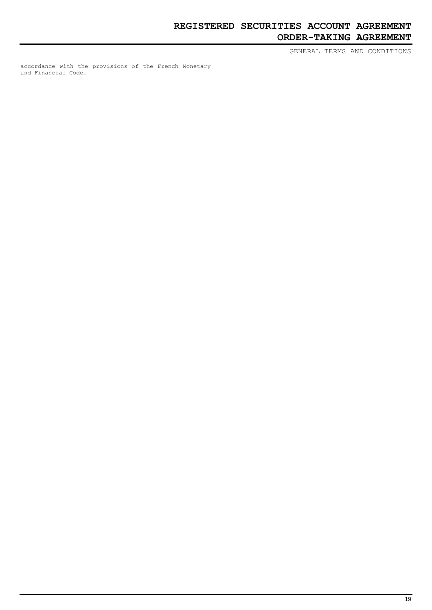accordance with the provisions of the French Monetary and Financial Code.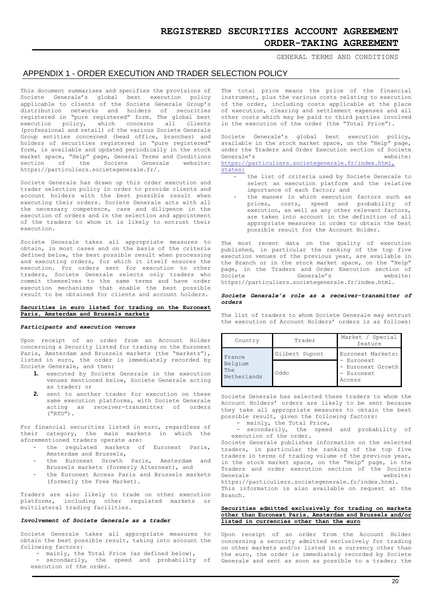GENERAL TERMS AND CONDITIONS

## APPENDIX 1 - ORDER EXECUTION AND TRADER SELECTION POLICY

This document summarises and specifies the provisions of Societe Generale's global best execution policy applicable to clients of the Societe Generale Group's distribution networks and holders of securities registered in "pure registered" form. The global best execution policy, which concerns all clients (professional and retail) of the various Societe Generale Group entities concerned (head office, branches) and holders of securities registered in "pure registered" form, is available and updated periodically in the stock market space, "Help" page, General Terms and Conditions section of the Societe Generale website: https://particuliers.societegenerale.fr/.

Societe Generale has drawn up this order execution and trader selection policy in order to provide clients and account holders with the best possible result when executing their orders. Societe Generale acts with all the necessary competence, care and diligence in the execution of orders and in the selection and appointment of the traders to whom it is likely to entrust their execution.

Societe Generale takes all appropriate measures to obtain, in most cases and on the basis of the criteria defined below, the best possible result when processing and executing orders, for which it itself ensures the execution. For orders sent for execution to other traders, Societe Generale selects only traders who commit themselves to the same terms and have order execution mechanisms that enable the best possible result to be obtained for clients and account holders.

#### **Securities in euro listed for trading on the Euronext Paris, Amsterdam and Brussels markets**

### *Participants and execution venues*

Upon receipt of an order from an Account Holder concerning a Security listed for trading on the Euronext Paris, Amsterdam and Brussels markets (the "markets"), listed in euro, the order is immediately recorded by Societe Generale, and then:

- **1.** executed by Societe Generale in the execution venues mentioned below, Societe Generale acting as trader; or
- **2.** sent to another trader for execution on these same execution platforms, with Societe Generale acting as receiver-transmitter of orders  $(NRTO'')$

For financial securities listed in euro, regardless of their category, the main markets in which the aforementioned traders operate are:

- the regulated markets of Euronext Paris, Amsterdam and Brussels,
- the Euronext Growth Paris, Amsterdam and Brussels markets (formerly Alternext), and
- the Euronext Access Paris and Brussels markets (formerly the Free Market).

Traders are also likely to trade on other execution platforms, including other regulated markets or multilateral trading facilities.

#### *Involvement of Societe Generale as a trader*

Societe Generale takes all appropriate measures to obtain the best possible result, taking into account the following factors:

- mainly, the Total Price (as defined below),
- secondarily, the speed and probability of execution of the order.

The total price means the price of the financial instrument, plus the various costs relating to execution of the order, including costs applicable at the place of execution, clearing and settlement expenses and all other costs which may be paid to third parties involved in the execution of the order (the "Total Price").

Societe Generale's global best execution policy, available in the stock market space, on the "Help" page, under the Traders and Order Execution section of Societe Generale's website: [https://particuliers.societegenerale.fr/index.html,](https://particuliers.societegenerale.fr/index.html,%20states:) 

[states:](https://particuliers.societegenerale.fr/index.html,%20states:)

- the list of criteria used by Societe Generale to select an execution platform and the relative importance of each factor; and
	- the manner in which execution factors such as prices, costs, speed and probability of execution, as well as any other relevant factors, are taken into account in the definition of all appropriate measures in order to obtain the best possible result for the Account Holder.

The most recent data on the quality of execution published, in particular the ranking of the top five execution venues of the previous year, are available in the Branch or in the stock market space, on the "Help" page, in the Traders and Order Execution section of Societe Generale's website: [https://particuliers.societegenerale.fr/index.html.](https://particuliers.societegenerale.fr/index.html)

#### *Societe Generale's role as a receiver-transmitter of orders*

The list of traders to whom Societe Generale may entrust the execution of Account Holders' orders is as follows:

| Country                       | Trader         | Market / Special<br>feature               |
|-------------------------------|----------------|-------------------------------------------|
| France                        | Gilbert Dupont | Euronext Markets:<br>Euronext             |
| Belgium<br>The<br>Netherlands | oddo           | - Euronext Growth<br>- Euronext<br>Access |

Societe Generale has selected these traders to whom the Account Holders' orders are likely to be sent because they take all appropriate measures to obtain the best possible result, given the following factors:

- mainly, the Total Price,

- secondarily, the speed and probability of execution of the order.

Societe Generale publishes information on the selected traders, in particular the ranking of the top five traders in terms of trading volume of the previous year, in the stock market space, on the "Help" page, in the Traders and order execution section of the Societe Generale website: [https://particuliers.societegenerale.fr/index.html.](https://particuliers.societegenerale.fr/index.html)

This information is also available on request at the Branch.

#### **Securities admitted exclusively for trading on markets other than Euronext Paris, Amsterdam and Brussels and/or listed in currencies other than the euro**

Upon receipt of an order from the Account Holder concerning a security admitted exclusively for trading on other markets and/or listed in a currency other than the euro, the order is immediately recorded by Societe Generale and sent as soon as possible to a trader; the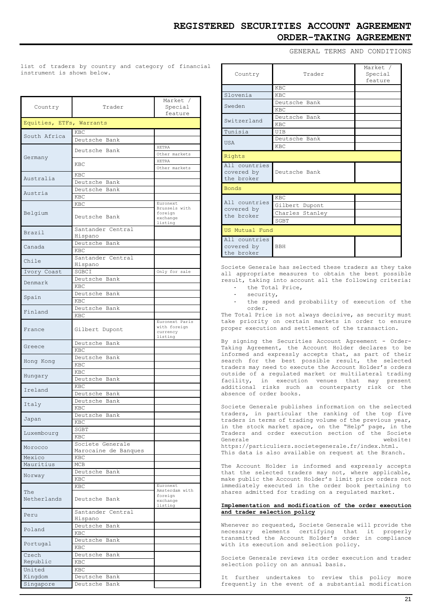GENERAL TERMS AND CONDITIONS

list of traders by country and category of financial instrument is shown below.

| Country                  | Trader                       | Market /<br>Special<br>feature                        |  |  |  |
|--------------------------|------------------------------|-------------------------------------------------------|--|--|--|
| Equities, ETFs, Warrants |                              |                                                       |  |  |  |
|                          | KBC                          |                                                       |  |  |  |
| South Africa             | Deutsche Bank                |                                                       |  |  |  |
|                          | Deutsche Bank                | XETRA                                                 |  |  |  |
| Germany                  |                              | Other markets                                         |  |  |  |
|                          | KBC                          | XETRA                                                 |  |  |  |
|                          | KBC                          | Other markets                                         |  |  |  |
| Australia                | Deutsche Bank                |                                                       |  |  |  |
|                          | Deutsche Bank                |                                                       |  |  |  |
| Austria                  | KBC                          |                                                       |  |  |  |
|                          | KBC                          | Euronext                                              |  |  |  |
| Belgium                  | Deutsche Bank                | Brussels with<br>foreign<br>exchange<br>listing       |  |  |  |
| Brazil                   | Santander Central<br>Hispano |                                                       |  |  |  |
| Canada                   | Deutsche Bank                |                                                       |  |  |  |
|                          | KBC                          |                                                       |  |  |  |
| Chile                    | Santander Central            |                                                       |  |  |  |
|                          | Hispano                      |                                                       |  |  |  |
| Ivory Coast              | SGBCI                        | Only for sale                                         |  |  |  |
| Denmark                  | Deutsche Bank<br><b>KBC</b>  |                                                       |  |  |  |
|                          | Deutsche Bank                |                                                       |  |  |  |
| Spain                    | <b>KBC</b>                   |                                                       |  |  |  |
|                          | Deutsche Bank                |                                                       |  |  |  |
| Finland                  | KBC                          |                                                       |  |  |  |
| France                   | Gilbert Dupont               | Euronext Paris<br>with foreign<br>currency<br>listing |  |  |  |
| Greece                   | Deutsche Bank<br>KBC         |                                                       |  |  |  |
| Hong Kong                | Deutsche Bank                |                                                       |  |  |  |
|                          | KBC                          |                                                       |  |  |  |
| Hungary                  | <b>KBC</b>                   |                                                       |  |  |  |
|                          | Deutsche Bank                |                                                       |  |  |  |
| Ireland                  | KBC<br>Deutsche Bank         |                                                       |  |  |  |
|                          | Deutsche Bank                |                                                       |  |  |  |
| Italy                    | KBC                          |                                                       |  |  |  |
|                          | Deutsche Bank                |                                                       |  |  |  |
| Japan                    | KBC                          |                                                       |  |  |  |
|                          | SGBT                         |                                                       |  |  |  |
| Luxembourg               | KBC                          |                                                       |  |  |  |
| Morocco                  | Societe Generale             |                                                       |  |  |  |
|                          | Marocaine de Banques         |                                                       |  |  |  |
| Mexico                   | KBC                          |                                                       |  |  |  |
| Mauritius                | MCB<br>Deutsche Bank         |                                                       |  |  |  |
| Norway                   | <b>KBC</b>                   |                                                       |  |  |  |
|                          | $\ensuremath{\mathsf{KBC}}$  | Euronext                                              |  |  |  |
| The                      |                              | Amsterdam with<br>foreign                             |  |  |  |
| Netherlands              | Deutsche Bank                | exchange<br>listing                                   |  |  |  |
| Peru                     | Santander Central<br>Hispano |                                                       |  |  |  |
| Poland                   | Deutsche Bank                |                                                       |  |  |  |
|                          | KBC                          |                                                       |  |  |  |
| Portugal                 | Deutsche Bank<br>KBC         |                                                       |  |  |  |
| Czech                    | Deutsche Bank                |                                                       |  |  |  |
| Republic                 | KBC                          |                                                       |  |  |  |
| United                   | KBC                          |                                                       |  |  |  |
| Kingdom                  | Deutsche Bank                |                                                       |  |  |  |
| Singapore                | Deutsche Bank                |                                                       |  |  |  |

| Country                                   | Trader          | Market /<br>Special<br>feature |  |  |  |
|-------------------------------------------|-----------------|--------------------------------|--|--|--|
|                                           | <b>KBC</b>      |                                |  |  |  |
| Slovenia                                  | <b>KBC</b>      |                                |  |  |  |
| Sweden                                    | Deutsche Bank   |                                |  |  |  |
|                                           | <b>KBC</b>      |                                |  |  |  |
| Switzerland                               | Deutsche Bank   |                                |  |  |  |
|                                           | <b>KBC</b>      |                                |  |  |  |
| Tunisia                                   | UTB             |                                |  |  |  |
| <b>USA</b>                                | Deutsche Bank   |                                |  |  |  |
|                                           | <b>KBC</b>      |                                |  |  |  |
| Rights                                    |                 |                                |  |  |  |
| All countries<br>covered by<br>the broker | Deutsche Bank   |                                |  |  |  |
| <b>Bonds</b>                              |                 |                                |  |  |  |
|                                           | <b>KBC</b>      |                                |  |  |  |
| All countries                             | Gilbert Dupont  |                                |  |  |  |
| covered by<br>the broker                  | Charles Stanley |                                |  |  |  |
|                                           | SGBT            |                                |  |  |  |
| US Mutual Fund                            |                 |                                |  |  |  |
| All countries<br>covered by<br>the broker | <b>BBH</b>      |                                |  |  |  |

Societe Generale has selected these traders as they take all appropriate measures to obtain the best possible result, taking into account all the following criteria: - the Total Price,

- 
- security,
- the speed and probability of execution of the order.

The Total Price is not always decisive, as security must take priority on certain markets in order to ensure proper execution and settlement of the transaction.

By signing the Securities Account Agreement - Order-Taking Agreement, the Account Holder declares to be informed and expressly accepts that, as part of their search for the best possible result, the selected traders may need to execute the Account Holder's orders outside of a regulated market or multilateral trading facility, in execution venues that may present additional risks such as counterparty risk or the absence of order books.

Societe Generale publishes information on the selected traders, in particular the ranking of the top five traders in terms of trading volume of the previous year, in the stock market space, on the "Help" page, in the Traders and order execution section of the Societe Generale website: [https://particuliers.societegenerale.fr/index.html.](https://particuliers.societegenerale.fr/index.html) This data is also available on request at the Branch.

The Account Holder is informed and expressly accepts that the selected traders may not, where applicable, make public the Account Holder's limit price orders not immediately executed in the order book pertaining to shares admitted for trading on a regulated market.

#### **Implementation and modification of the order execution and trader selection policy**

Whenever so requested, Societe Generale will provide the necessary elements certifying that it properly transmitted the Account Holder's order in compliance with its execution and selection policy.

Societe Generale reviews its order execution and trader selection policy on an annual basis.

It further undertakes to review this policy more frequently in the event of a substantial modification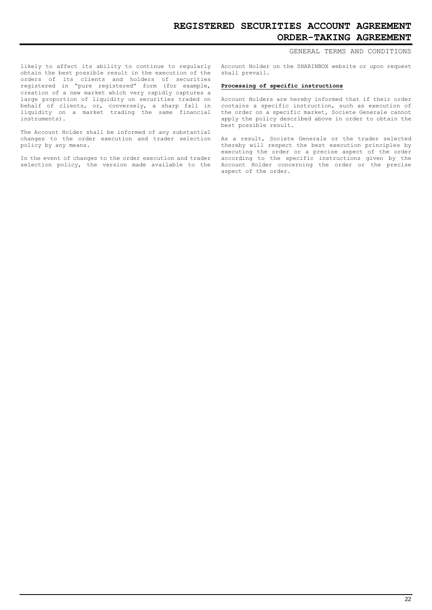## GENERAL TERMS AND CONDITIONS

likely to affect its ability to continue to regularly obtain the best possible result in the execution of the orders of its clients and holders of securities registered in "pure registered" form (for example, creation of a new market which very rapidly captures a large proportion of liquidity on securities traded on behalf of clients, or, conversely, a sharp fall in liquidity on a market trading the same financial instruments).

The Account Holder shall be informed of any substantial changes to the order execution and trader selection policy by any means.

In the event of changes to the order execution and trader selection policy, the version made available to the Account Holder on the SHARINBOX website or upon request shall prevail.

#### **Processing of specific instructions**

Account Holders are hereby informed that if their order contains a specific instruction, such as execution of the order on a specific market, Societe Generale cannot apply the policy described above in order to obtain the best possible result.

As a result, Societe Generale or the trader selected thereby will respect the best execution principles by executing the order or a precise aspect of the order according to the specific instructions given by the Account Holder concerning the order or the precise aspect of the order.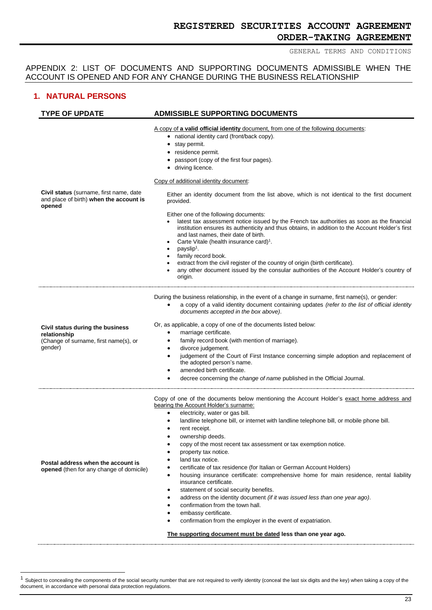GENERAL TERMS AND CONDITIONS

## APPENDIX 2: LIST OF DOCUMENTS AND SUPPORTING DOCUMENTS ADMISSIBLE WHEN THE ACCOUNT IS OPENED AND FOR ANY CHANGE DURING THE BUSINESS RELATIONSHIP

## **1. NATURAL PERSONS**

| <b>ADMISSIBLE SUPPORTING DOCUMENTS</b>                                                                                                                                                                                                                                                                                                                                                                                                                                                                                                                                                                                                                                                                                                                                                                                                                                                                                                                                 |
|------------------------------------------------------------------------------------------------------------------------------------------------------------------------------------------------------------------------------------------------------------------------------------------------------------------------------------------------------------------------------------------------------------------------------------------------------------------------------------------------------------------------------------------------------------------------------------------------------------------------------------------------------------------------------------------------------------------------------------------------------------------------------------------------------------------------------------------------------------------------------------------------------------------------------------------------------------------------|
| A copy of a valid official identity document, from one of the following documents:<br>• national identity card (front/back copy).<br>• stay permit.<br>• residence permit.<br>passport (copy of the first four pages).<br>• driving licence.                                                                                                                                                                                                                                                                                                                                                                                                                                                                                                                                                                                                                                                                                                                           |
| Copy of additional identity document:<br>Either an identity document from the list above, which is not identical to the first document<br>provided.                                                                                                                                                                                                                                                                                                                                                                                                                                                                                                                                                                                                                                                                                                                                                                                                                    |
| Either one of the following documents:<br>latest tax assessment notice issued by the French tax authorities as soon as the financial<br>institution ensures its authenticity and thus obtains, in addition to the Account Holder's first<br>and last names, their date of birth.<br>Carte Vitale (health insurance card) <sup>1</sup> .<br>payslip <sup>1</sup> .<br>family record book.<br>٠<br>extract from the civil register of the country of origin (birth certificate).<br>any other document issued by the consular authorities of the Account Holder's country of<br>origin.                                                                                                                                                                                                                                                                                                                                                                                  |
| During the business relationship, in the event of a change in surname, first name(s), or gender:<br>a copy of a valid identity document containing updates (refer to the list of official identity<br>documents accepted in the box above).                                                                                                                                                                                                                                                                                                                                                                                                                                                                                                                                                                                                                                                                                                                            |
| Or, as applicable, a copy of one of the documents listed below:<br>marriage certificate.<br>family record book (with mention of marriage).<br>٠<br>divorce judgement.<br>٠<br>judgement of the Court of First Instance concerning simple adoption and replacement of<br>$\bullet$<br>the adopted person's name.<br>amended birth certificate.<br>decree concerning the change of name published in the Official Journal.                                                                                                                                                                                                                                                                                                                                                                                                                                                                                                                                               |
| Copy of one of the documents below mentioning the Account Holder's exact home address and<br>bearing the Account Holder's surname:<br>electricity, water or gas bill.<br>$\bullet$<br>landline telephone bill, or internet with landline telephone bill, or mobile phone bill.<br>٠<br>rent receipt.<br>ownership deeds.<br>copy of the most recent tax assessment or tax exemption notice.<br>property tax notice.<br>land tax notice.<br>certificate of tax residence (for Italian or German Account Holders)<br>housing insurance certificate: comprehensive home for main residence, rental liability<br>insurance certificate.<br>statement of social security benefits.<br>$\bullet$<br>address on the identity document (if it was issued less than one year ago).<br>confirmation from the town hall.<br>embassy certificate.<br>confirmation from the employer in the event of expatriation.<br>The supporting document must be dated less than one year ago. |
|                                                                                                                                                                                                                                                                                                                                                                                                                                                                                                                                                                                                                                                                                                                                                                                                                                                                                                                                                                        |

 $1$  Subject to concealing the components of the social security number that are not required to verify identity (conceal the last six digits and the key) when taking a copy of the document, in accordance with personal data protection regulations.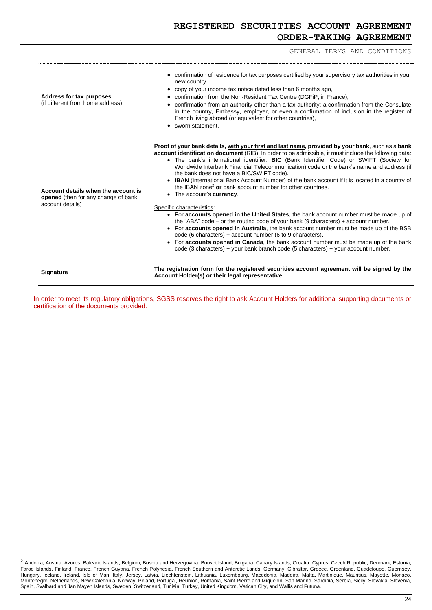| <b>Address for tax purposes</b><br>(if different from home address)        | confirmation of residence for tax purposes certified by your supervisory tax authorities in your<br>٠<br>new country,<br>copy of your income tax notice dated less than 6 months ago,<br>confirmation from the Non-Resident Tax Centre (DGFiP, in France),<br>confirmation from an authority other than a tax authority: a confirmation from the Consulate<br>in the country, Embassy, employer, or even a confirmation of inclusion in the register of<br>French living abroad (or equivalent for other countries),<br>sworn statement.                                                                                                              |
|----------------------------------------------------------------------------|-------------------------------------------------------------------------------------------------------------------------------------------------------------------------------------------------------------------------------------------------------------------------------------------------------------------------------------------------------------------------------------------------------------------------------------------------------------------------------------------------------------------------------------------------------------------------------------------------------------------------------------------------------|
| Account details when the account is<br>opened (then for any change of bank | Proof of your bank details, with your first and last name, provided by your bank, such as a bank<br>account identification document (RIB). In order to be admissible, it must include the following data:<br>• The bank's international identifier: BIC (Bank Identifier Code) or SWIFT (Society for<br>Worldwide Interbank Financial Telecommunication) code or the bank's name and address (if<br>the bank does not have a BIC/SWIFT code).<br>IBAN (International Bank Account Number) of the bank account if it is located in a country of<br>the IBAN zone <sup>2</sup> or bank account number for other countries.<br>• The account's currency. |
| account details)                                                           | Specific characteristics:<br>• For accounts opened in the United States, the bank account number must be made up of<br>the "ABA" code – or the routing code of your bank (9 characters) + account number.<br>• For accounts opened in Australia, the bank account number must be made up of the BSB<br>code (6 characters) + account number (6 to 9 characters).<br>For accounts opened in Canada, the bank account number must be made up of the bank<br>code (3 characters) + your bank branch code (5 characters) + your account number.                                                                                                           |
| <b>Signature</b>                                                           | The registration form for the registered securities account agreement will be signed by the<br>Account Holder(s) or their legal representative                                                                                                                                                                                                                                                                                                                                                                                                                                                                                                        |

In order to meet its regulatory obligations, SGSS reserves the right to ask Account Holders for additional supporting documents or certification of the documents provided.

<sup>&</sup>lt;sup>2</sup> Andorra, Austria, Azores, Balearic Islands, Belgium, Bosnia and Herzegovina, Bouvet Island, Bulgaria, Canary Islands, Croatia, Cyprus, Czech Republic, Denmark, Estonia, Faroe Islands, Finland, France, French Guyana, French Polynesia, French Southern and Antarctic Lands, Germany, Gibraltar, Greece, Greenland, Guadeloupe, Guernsey, Hungary, Iceland, Ireland, Isle of Man, Italy, Jersey, Latvia, Liechtenstein, Lithuania, Luxembourg, Macedonia, Madeira, Malta, Martinique, Mauritius, Mayotte, Monaco, Montenegro, Netherlands, New Caledonia, Norway, Poland, Portugal, Réunion, Romania, Saint Pierre and Miquelon, San Marino, Sardinia, Serbia, Sicily, Slovakia, Slovenia, Spain, Svalbard and Jan Mayen Islands, Sweden, Switzerland, Tunisia, Turkey, United Kingdom, Vatican City, and Wallis and Futuna.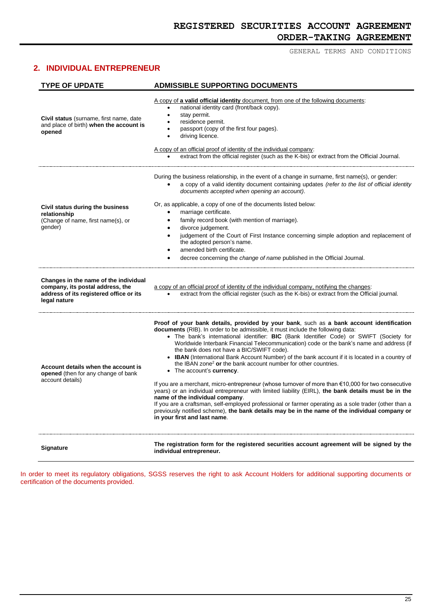## **2. INDIVIDUAL ENTREPRENEUR**

| <b>TYPE OF UPDATE</b>                                                                                                                | <b>ADMISSIBLE SUPPORTING DOCUMENTS</b>                                                                                                                                                                                                                                                                                                                                                                                                                                                                                                                                                                                                                                                                                                                                                                                                                                                                                                                                                                                                                                                                                  |  |  |
|--------------------------------------------------------------------------------------------------------------------------------------|-------------------------------------------------------------------------------------------------------------------------------------------------------------------------------------------------------------------------------------------------------------------------------------------------------------------------------------------------------------------------------------------------------------------------------------------------------------------------------------------------------------------------------------------------------------------------------------------------------------------------------------------------------------------------------------------------------------------------------------------------------------------------------------------------------------------------------------------------------------------------------------------------------------------------------------------------------------------------------------------------------------------------------------------------------------------------------------------------------------------------|--|--|
| Civil status (surname, first name, date<br>and place of birth) when the account is<br>opened                                         | A copy of a valid official identity document, from one of the following documents:<br>national identity card (front/back copy).<br>stay permit.<br>$\bullet$<br>residence permit.<br>$\bullet$<br>passport (copy of the first four pages).<br>driving licence.<br>$\bullet$<br>A copy of an official proof of identity of the individual company:<br>extract from the official register (such as the K-bis) or extract from the Official Journal.                                                                                                                                                                                                                                                                                                                                                                                                                                                                                                                                                                                                                                                                       |  |  |
| Civil status during the business                                                                                                     | During the business relationship, in the event of a change in surname, first name(s), or gender:<br>a copy of a valid identity document containing updates (refer to the list of official identity<br>documents accepted when opening an account).<br>Or, as applicable, a copy of one of the documents listed below:                                                                                                                                                                                                                                                                                                                                                                                                                                                                                                                                                                                                                                                                                                                                                                                                   |  |  |
| relationship<br>(Change of name, first name(s), or<br>qender)                                                                        | marriage certificate.<br>$\bullet$<br>family record book (with mention of marriage).<br>$\bullet$<br>divorce judgement.<br>$\bullet$<br>judgement of the Court of First Instance concerning simple adoption and replacement of<br>$\bullet$<br>the adopted person's name.<br>amended birth certificate.<br>$\bullet$<br>decree concerning the <i>change of name</i> published in the Official Journal.                                                                                                                                                                                                                                                                                                                                                                                                                                                                                                                                                                                                                                                                                                                  |  |  |
| Changes in the name of the individual<br>company, its postal address, the<br>address of its registered office or its<br>legal nature | a copy of an official proof of identity of the individual company, notifying the changes:<br>extract from the official register (such as the K-bis) or extract from the Official journal.<br>$\bullet$                                                                                                                                                                                                                                                                                                                                                                                                                                                                                                                                                                                                                                                                                                                                                                                                                                                                                                                  |  |  |
| Account details when the account is<br>opened (then for any change of bank<br>account details)                                       | Proof of your bank details, provided by your bank, such as a bank account identification<br>documents (RIB). In order to be admissible, it must include the following data:<br>• The bank's international identifier: BIC (Bank Identifier Code) or SWIFT (Society for<br>Worldwide Interbank Financial Telecommunication) code or the bank's name and address (if<br>the bank does not have a BIC/SWIFT code).<br>• IBAN (International Bank Account Number) of the bank account if it is located in a country of<br>the IBAN zone <sup>2</sup> or the bank account number for other countries.<br>• The account's currency.<br>If you are a merchant, micro-entrepreneur (whose turnover of more than €10,000 for two consecutive<br>years) or an individual entrepreneur with limited liability (EIRL), the bank details must be in the<br>name of the individual company.<br>If you are a craftsman, self-employed professional or farmer operating as a sole trader (other than a<br>previously notified scheme), the bank details may be in the name of the individual company or<br>in your first and last name. |  |  |
| <b>Signature</b>                                                                                                                     | The registration form for the registered securities account agreement will be signed by the<br>individual entrepreneur.                                                                                                                                                                                                                                                                                                                                                                                                                                                                                                                                                                                                                                                                                                                                                                                                                                                                                                                                                                                                 |  |  |

In order to meet its regulatory obligations, SGSS reserves the right to ask Account Holders for additional supporting documents or certification of the documents provided.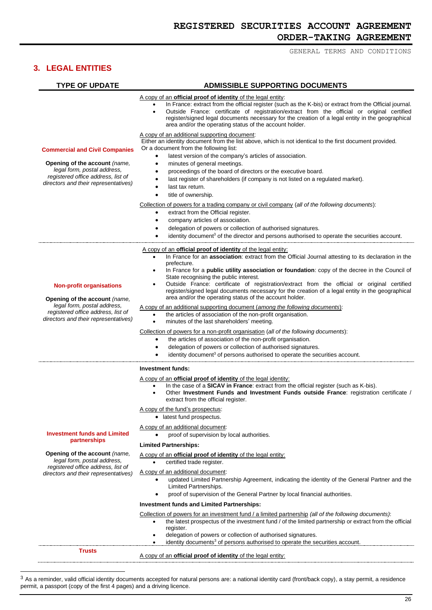## **3. LEGAL ENTITIES**

| <b>TYPE OF UPDATE</b>                                                                                                                                                               | <b>ADMISSIBLE SUPPORTING DOCUMENTS</b>                                                                                                                                                                                                                                                                                                                                                                                                                                                                                                                                                                                                                              |
|-------------------------------------------------------------------------------------------------------------------------------------------------------------------------------------|---------------------------------------------------------------------------------------------------------------------------------------------------------------------------------------------------------------------------------------------------------------------------------------------------------------------------------------------------------------------------------------------------------------------------------------------------------------------------------------------------------------------------------------------------------------------------------------------------------------------------------------------------------------------|
|                                                                                                                                                                                     | A copy of an <b>official proof of identity</b> of the legal entity:<br>In France: extract from the official register (such as the K-bis) or extract from the Official journal.<br>Outside France: certificate of registration/extract from the official or original certified<br>$\bullet$<br>register/signed legal documents necessary for the creation of a legal entity in the geographical<br>area and/or the operating status of the account holder.                                                                                                                                                                                                           |
| <b>Commercial and Civil Companies</b><br>Opening of the account (name,<br>legal form, postal address,<br>registered office address, list of<br>directors and their representatives) | A copy of an additional supporting document:<br>Either an identity document from the list above, which is not identical to the first document provided.<br>Or a document from the following list:<br>latest version of the company's articles of association.<br>$\bullet$<br>minutes of general meetings.<br>$\bullet$<br>proceedings of the board of directors or the executive board.<br>٠<br>last register of shareholders (if company is not listed on a regulated market).<br>$\bullet$<br>last tax return.<br>$\bullet$<br>title of ownership.<br>$\bullet$<br>Collection of powers for a trading company or civil company (all of the following documents): |
|                                                                                                                                                                                     | extract from the Official register.<br>٠<br>company articles of association.<br>$\bullet$<br>delegation of powers or collection of authorised signatures.<br>identity document <sup>3</sup> of the director and persons authorised to operate the securities account.<br>$\bullet$                                                                                                                                                                                                                                                                                                                                                                                  |
| <b>Non-profit organisations</b><br>Opening of the account (name,                                                                                                                    | A copy of an <b>official proof of identity</b> of the legal entity:<br>In France for an association: extract from the Official Journal attesting to its declaration in the<br>$\bullet$<br>prefecture.<br>In France for a public utility association or foundation: copy of the decree in the Council of<br>State recognising the public interest.<br>Outside France: certificate of registration/extract from the official or original certified<br>register/signed legal documents necessary for the creation of a legal entity in the geographical<br>area and/or the operating status of the account holder.                                                    |
| legal form, postal address,<br>registered office address, list of<br>directors and their representatives)                                                                           | A copy of an additional supporting document (among the following documents):<br>the articles of association of the non-profit organisation.<br>minutes of the last shareholders' meeting.<br>$\bullet$                                                                                                                                                                                                                                                                                                                                                                                                                                                              |
|                                                                                                                                                                                     | Collection of powers for a non-profit organisation (all of the following documents):<br>the articles of association of the non-profit organisation.<br>$\bullet$<br>delegation of powers or collection of authorised signatures.<br>$\bullet$<br>identity document <sup>3</sup> of persons authorised to operate the securities account.                                                                                                                                                                                                                                                                                                                            |
|                                                                                                                                                                                     | <b>Investment funds:</b>                                                                                                                                                                                                                                                                                                                                                                                                                                                                                                                                                                                                                                            |
|                                                                                                                                                                                     | A copy of an <b>official proof of identity</b> of the legal identity:<br>In the case of a SICAV in France: extract from the official register (such as K-bis).<br>Other Investment Funds and Investment Funds outside France: registration certificate /<br>extract from the official register.                                                                                                                                                                                                                                                                                                                                                                     |
|                                                                                                                                                                                     | A copy of the fund's prospectus:<br>• latest fund prospectus.                                                                                                                                                                                                                                                                                                                                                                                                                                                                                                                                                                                                       |
| <b>Investment funds and Limited</b><br>partnerships                                                                                                                                 | A copy of an additional document:<br>proof of supervision by local authorities.                                                                                                                                                                                                                                                                                                                                                                                                                                                                                                                                                                                     |
|                                                                                                                                                                                     | <b>Limited Partnerships:</b>                                                                                                                                                                                                                                                                                                                                                                                                                                                                                                                                                                                                                                        |
| Opening of the account (name,<br>legal form, postal address,<br>registered office address, list of                                                                                  | A copy of an <b>official proof of identity</b> of the legal entity:<br>certified trade register.                                                                                                                                                                                                                                                                                                                                                                                                                                                                                                                                                                    |
| directors and their representatives)                                                                                                                                                | A copy of an additional document:<br>updated Limited Partnership Agreement, indicating the identity of the General Partner and the<br>Limited Partnerships.                                                                                                                                                                                                                                                                                                                                                                                                                                                                                                         |
|                                                                                                                                                                                     | proof of supervision of the General Partner by local financial authorities.<br>$\bullet$                                                                                                                                                                                                                                                                                                                                                                                                                                                                                                                                                                            |
|                                                                                                                                                                                     | <b>Investment funds and Limited Partnerships:</b><br>Collection of powers for an investment fund / a limited partnership (all of the following documents):<br>the latest prospectus of the investment fund / of the limited partnership or extract from the official<br>$\bullet$<br>register.<br>delegation of powers or collection of authorised signatures.                                                                                                                                                                                                                                                                                                      |
|                                                                                                                                                                                     | identity documents <sup>3</sup> of persons authorised to operate the securities account.                                                                                                                                                                                                                                                                                                                                                                                                                                                                                                                                                                            |
| <b>Trusts</b>                                                                                                                                                                       | A copy of an official proof of identity of the legal entity:                                                                                                                                                                                                                                                                                                                                                                                                                                                                                                                                                                                                        |

<sup>3</sup> As a reminder, valid official identity documents accepted for natural persons are: a national identity card (front/back copy), a stay permit, a residence permit, a passport (copy of the first 4 pages) and a driving licence.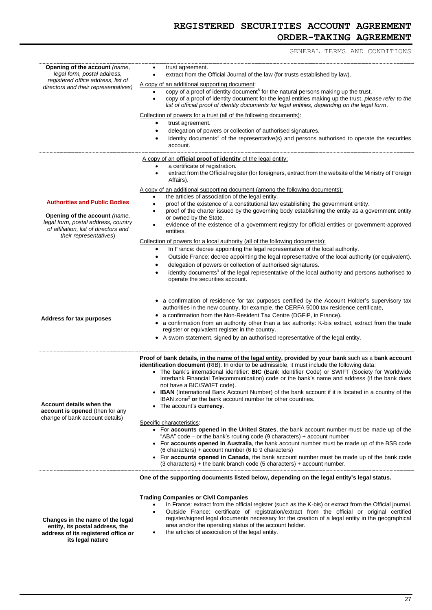## GENERAL TERMS AND CONDITIONS

| Opening of the account (name,<br>legal form, postal address,<br>registered office address, list of<br>directors and their representatives)                                      | trust agreement.<br>extract from the Official Journal of the law (for trusts established by law).<br>A copy of an additional supporting document:<br>copy of a proof of identity document <sup>5</sup> for the natural persons making up the trust.<br>copy of a proof of identity document for the legal entities making up the trust, please refer to the<br>$\bullet$<br>list of official proof of identity documents for legal entities, depending on the legal form.<br>Collection of powers for a trust (all of the following documents):<br>trust agreement.<br>delegation of powers or collection of authorised signatures.<br>identity documents <sup>3</sup> of the representative(s) and persons authorised to operate the securities<br>account.                                                                                                                                                                                                                                                                                                                                                                                                                                       |
|---------------------------------------------------------------------------------------------------------------------------------------------------------------------------------|----------------------------------------------------------------------------------------------------------------------------------------------------------------------------------------------------------------------------------------------------------------------------------------------------------------------------------------------------------------------------------------------------------------------------------------------------------------------------------------------------------------------------------------------------------------------------------------------------------------------------------------------------------------------------------------------------------------------------------------------------------------------------------------------------------------------------------------------------------------------------------------------------------------------------------------------------------------------------------------------------------------------------------------------------------------------------------------------------------------------------------------------------------------------------------------------------|
|                                                                                                                                                                                 | A copy of an <b>official proof of identity</b> of the legal entity:<br>a certificate of registration.<br>extract from the Official register (for foreigners, extract from the website of the Ministry of Foreign<br>Affairs).                                                                                                                                                                                                                                                                                                                                                                                                                                                                                                                                                                                                                                                                                                                                                                                                                                                                                                                                                                      |
| <b>Authorities and Public Bodies</b><br>Opening of the account (name,<br>legal form, postal address, country<br>of affiliation, list of directors and<br>their representatives) | A copy of an additional supporting document (among the following documents):<br>the articles of association of the legal entity.<br>proof of the existence of a constitutional law establishing the government entity.<br>proof of the charter issued by the governing body establishing the entity as a government entity<br>or owned by the State.<br>evidence of the existence of a government registry for official entities or government-approved<br>entities.<br>Collection of powers for a local authority (all of the following documents):<br>$\bullet$                                                                                                                                                                                                                                                                                                                                                                                                                                                                                                                                                                                                                                  |
|                                                                                                                                                                                 | In France: decree appointing the legal representative of the local authority.<br>Outside France: decree appointing the legal representative of the local authority (or equivalent).<br>delegation of powers or collection of authorised signatures.<br>identity documents <sup>3</sup> of the legal representative of the local authority and persons authorised to<br>$\bullet$<br>operate the securities account.                                                                                                                                                                                                                                                                                                                                                                                                                                                                                                                                                                                                                                                                                                                                                                                |
| Address for tax purposes                                                                                                                                                        | • a confirmation of residence for tax purposes certified by the Account Holder's supervisory tax<br>authorities in the new country, for example, the CERFA 5000 tax residence certificate,<br>• a confirmation from the Non-Resident Tax Centre (DGFiP, in France).<br>• a confirmation from an authority other than a tax authority: K-bis extract, extract from the trade<br>register or equivalent register in the country.<br>• A sworn statement, signed by an authorised representative of the legal entity.                                                                                                                                                                                                                                                                                                                                                                                                                                                                                                                                                                                                                                                                                 |
| Account details when the<br>account is opened (then for any<br>change of bank account details)                                                                                  | Proof of bank details, in the name of the legal entity, provided by your bank such as a bank account<br>identification document (RIB). In order to be admissible, it must include the following data:<br>• The bank's international identifier: BIC (Bank Identifier Code) or SWIFT (Society for Worldwide<br>Interbank Financial Telecommunication) code or the bank's name and address (if the bank does<br>not have a BIC/SWIFT code).<br>• IBAN (International Bank Account Number) of the bank account if it is located in a country of the<br>IBAN zone <sup>2</sup> or the bank account number for other countries.<br>• The account's currency.<br>Specific characteristics:<br>• For accounts opened in the United States, the bank account number must be made up of the<br>"ABA" code – or the bank's routing code (9 characters) + account number<br>• For accounts opened in Australia, the bank account number must be made up of the BSB code<br>$(6$ characters) + account number $(6$ to 9 characters)<br>• For accounts opened in Canada, the bank account number must be made up of the bank code<br>$(3$ characters) + the bank branch code $(5$ characters) + account number. |
| Changes in the name of the legal<br>entity, its postal address, the<br>address of its registered office or<br>its legal nature                                                  | One of the supporting documents listed below, depending on the legal entity's legal status.<br><b>Trading Companies or Civil Companies</b><br>In France: extract from the official register (such as the K-bis) or extract from the Official journal.<br>Outside France: certificate of registration/extract from the official or original certified<br>$\bullet$<br>register/signed legal documents necessary for the creation of a legal entity in the geographical<br>area and/or the operating status of the account holder.<br>the articles of association of the legal entity.                                                                                                                                                                                                                                                                                                                                                                                                                                                                                                                                                                                                               |

-----------------------

27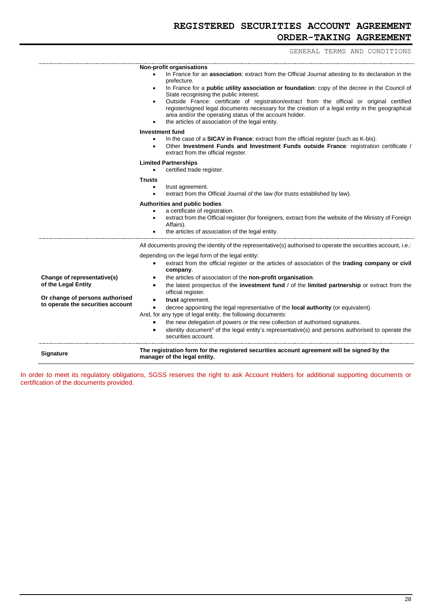|                                   | In France for an <b>association</b> : extract from the Official Journal attesting to its declaration in the<br>prefecture.                                                                                                                                                                                                  |  |  |  |  |
|-----------------------------------|-----------------------------------------------------------------------------------------------------------------------------------------------------------------------------------------------------------------------------------------------------------------------------------------------------------------------------|--|--|--|--|
|                                   | In France for a public utility association or foundation: copy of the decree in the Council of<br>$\bullet$<br>State recognising the public interest.                                                                                                                                                                       |  |  |  |  |
|                                   | Outside France: certificate of registration/extract from the official or original certified<br>$\bullet$<br>register/signed legal documents necessary for the creation of a legal entity in the geographical<br>area and/or the operating status of the account holder.<br>the articles of association of the legal entity. |  |  |  |  |
|                                   | Investment fund                                                                                                                                                                                                                                                                                                             |  |  |  |  |
|                                   | In the case of a <b>SICAV in France</b> : extract from the official register (such as K-bis).<br>$\bullet$<br>Other Investment Funds and Investment Funds outside France: registration certificate /<br>$\bullet$<br>extract from the official register.                                                                    |  |  |  |  |
|                                   | <b>Limited Partnerships</b><br>certified trade register.<br>$\bullet$                                                                                                                                                                                                                                                       |  |  |  |  |
|                                   | Trusts                                                                                                                                                                                                                                                                                                                      |  |  |  |  |
|                                   | trust agreement.<br>$\bullet$<br>extract from the Official Journal of the law (for trusts established by law).<br>$\bullet$                                                                                                                                                                                                 |  |  |  |  |
|                                   | Authorities and public bodies                                                                                                                                                                                                                                                                                               |  |  |  |  |
|                                   | a certificate of registration.<br>extract from the Official register (for foreigners, extract from the website of the Ministry of Foreign<br>$\bullet$<br>Affairs).                                                                                                                                                         |  |  |  |  |
|                                   | the articles of association of the legal entity.<br>$\bullet$                                                                                                                                                                                                                                                               |  |  |  |  |
|                                   | All documents proving the identity of the representative(s) authorised to operate the securities account, i.e.                                                                                                                                                                                                              |  |  |  |  |
|                                   | depending on the legal form of the legal entity:                                                                                                                                                                                                                                                                            |  |  |  |  |
|                                   | extract from the official register or the articles of association of the trading company or civil<br>company.                                                                                                                                                                                                               |  |  |  |  |
| Change of representative(s)       | the articles of association of the non-profit organisation.<br>٠                                                                                                                                                                                                                                                            |  |  |  |  |
| of the Legal Entity               | the latest prospectus of the investment fund / of the limited partnership or extract from the<br>$\bullet$<br>official register.                                                                                                                                                                                            |  |  |  |  |
| Or change of persons authorised   | trust agreement.<br>$\bullet$                                                                                                                                                                                                                                                                                               |  |  |  |  |
| to operate the securities account | decree appointing the legal representative of the local authority (or equivalent).                                                                                                                                                                                                                                          |  |  |  |  |
|                                   | And, for any type of legal entity, the following documents:                                                                                                                                                                                                                                                                 |  |  |  |  |
|                                   | the new delegation of powers or the new collection of authorised signatures.<br>$\bullet$                                                                                                                                                                                                                                   |  |  |  |  |
|                                   | identity document <sup>3</sup> of the legal entity's representative(s) and persons authorised to operate the<br>$\bullet$<br>securities account.                                                                                                                                                                            |  |  |  |  |
| <b>Signature</b>                  | The registration form for the registered securities account agreement will be signed by the<br>manager of the legal entity.                                                                                                                                                                                                 |  |  |  |  |

In order to meet its regulatory obligations, SGSS reserves the right to ask Account Holders for additional supporting documents or certification of the documents provided.